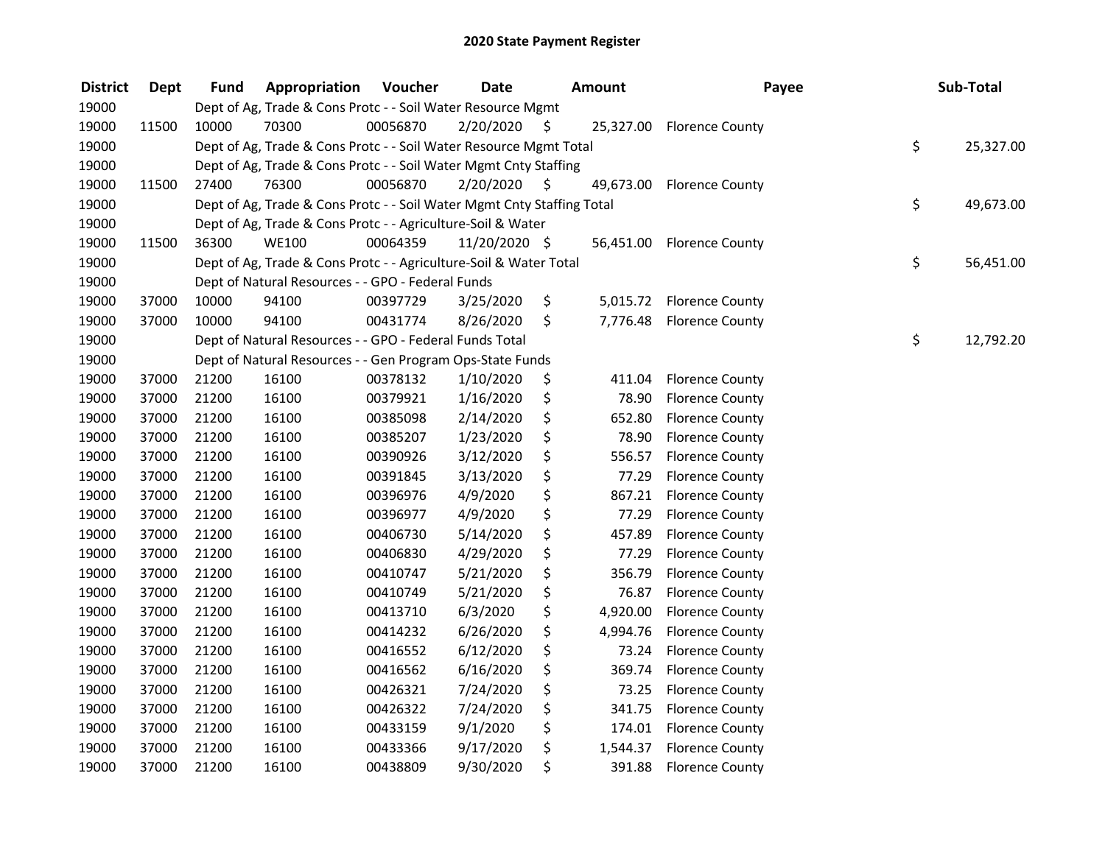| <b>District</b> | <b>Dept</b> | <b>Fund</b> | Appropriation                                                          | Voucher  | <b>Date</b>   |    | <b>Amount</b> | Payee                     | Sub-Total       |
|-----------------|-------------|-------------|------------------------------------------------------------------------|----------|---------------|----|---------------|---------------------------|-----------------|
| 19000           |             |             | Dept of Ag, Trade & Cons Protc - - Soil Water Resource Mgmt            |          |               |    |               |                           |                 |
| 19000           | 11500       | 10000       | 70300                                                                  | 00056870 | 2/20/2020     | \$ | 25,327.00     | <b>Florence County</b>    |                 |
| 19000           |             |             | Dept of Ag, Trade & Cons Protc - - Soil Water Resource Mgmt Total      |          |               |    |               |                           | \$<br>25,327.00 |
| 19000           |             |             | Dept of Ag, Trade & Cons Protc - - Soil Water Mgmt Cnty Staffing       |          |               |    |               |                           |                 |
| 19000           | 11500       | 27400       | 76300                                                                  | 00056870 | 2/20/2020     | S  | 49,673.00     | <b>Florence County</b>    |                 |
| 19000           |             |             | Dept of Ag, Trade & Cons Protc - - Soil Water Mgmt Cnty Staffing Total |          |               |    |               |                           | \$<br>49,673.00 |
| 19000           |             |             | Dept of Ag, Trade & Cons Protc - - Agriculture-Soil & Water            |          |               |    |               |                           |                 |
| 19000           | 11500       | 36300       | <b>WE100</b>                                                           | 00064359 | 11/20/2020 \$ |    |               | 56,451.00 Florence County |                 |
| 19000           |             |             | Dept of Ag, Trade & Cons Protc - - Agriculture-Soil & Water Total      |          |               |    |               |                           | \$<br>56,451.00 |
| 19000           |             |             | Dept of Natural Resources - - GPO - Federal Funds                      |          |               |    |               |                           |                 |
| 19000           | 37000       | 10000       | 94100                                                                  | 00397729 | 3/25/2020     | \$ | 5,015.72      | <b>Florence County</b>    |                 |
| 19000           | 37000       | 10000       | 94100                                                                  | 00431774 | 8/26/2020     | \$ | 7,776.48      | <b>Florence County</b>    |                 |
| 19000           |             |             | Dept of Natural Resources - - GPO - Federal Funds Total                |          |               |    |               |                           | \$<br>12,792.20 |
| 19000           |             |             | Dept of Natural Resources - - Gen Program Ops-State Funds              |          |               |    |               |                           |                 |
| 19000           | 37000       | 21200       | 16100                                                                  | 00378132 | 1/10/2020     | \$ | 411.04        | <b>Florence County</b>    |                 |
| 19000           | 37000       | 21200       | 16100                                                                  | 00379921 | 1/16/2020     | \$ | 78.90         | <b>Florence County</b>    |                 |
| 19000           | 37000       | 21200       | 16100                                                                  | 00385098 | 2/14/2020     | \$ | 652.80        | <b>Florence County</b>    |                 |
| 19000           | 37000       | 21200       | 16100                                                                  | 00385207 | 1/23/2020     | \$ | 78.90         | <b>Florence County</b>    |                 |
| 19000           | 37000       | 21200       | 16100                                                                  | 00390926 | 3/12/2020     | \$ | 556.57        | <b>Florence County</b>    |                 |
| 19000           | 37000       | 21200       | 16100                                                                  | 00391845 | 3/13/2020     | \$ | 77.29         | <b>Florence County</b>    |                 |
| 19000           | 37000       | 21200       | 16100                                                                  | 00396976 | 4/9/2020      | \$ | 867.21        | <b>Florence County</b>    |                 |
| 19000           | 37000       | 21200       | 16100                                                                  | 00396977 | 4/9/2020      | \$ | 77.29         | <b>Florence County</b>    |                 |
| 19000           | 37000       | 21200       | 16100                                                                  | 00406730 | 5/14/2020     | \$ | 457.89        | <b>Florence County</b>    |                 |
| 19000           | 37000       | 21200       | 16100                                                                  | 00406830 | 4/29/2020     | \$ | 77.29         | <b>Florence County</b>    |                 |
| 19000           | 37000       | 21200       | 16100                                                                  | 00410747 | 5/21/2020     | \$ | 356.79        | <b>Florence County</b>    |                 |
| 19000           | 37000       | 21200       | 16100                                                                  | 00410749 | 5/21/2020     | \$ | 76.87         | <b>Florence County</b>    |                 |
| 19000           | 37000       | 21200       | 16100                                                                  | 00413710 | 6/3/2020      | \$ | 4,920.00      | <b>Florence County</b>    |                 |
| 19000           | 37000       | 21200       | 16100                                                                  | 00414232 | 6/26/2020     | \$ | 4,994.76      | <b>Florence County</b>    |                 |
| 19000           | 37000       | 21200       | 16100                                                                  | 00416552 | 6/12/2020     | \$ | 73.24         | <b>Florence County</b>    |                 |
| 19000           | 37000       | 21200       | 16100                                                                  | 00416562 | 6/16/2020     | \$ | 369.74        | <b>Florence County</b>    |                 |
| 19000           | 37000       | 21200       | 16100                                                                  | 00426321 | 7/24/2020     | \$ | 73.25         | <b>Florence County</b>    |                 |
| 19000           | 37000       | 21200       | 16100                                                                  | 00426322 | 7/24/2020     | \$ | 341.75        | <b>Florence County</b>    |                 |
| 19000           | 37000       | 21200       | 16100                                                                  | 00433159 | 9/1/2020      | \$ | 174.01        | <b>Florence County</b>    |                 |
| 19000           | 37000       | 21200       | 16100                                                                  | 00433366 | 9/17/2020     | \$ | 1,544.37      | <b>Florence County</b>    |                 |
| 19000           | 37000       | 21200       | 16100                                                                  | 00438809 | 9/30/2020     | \$ | 391.88        | <b>Florence County</b>    |                 |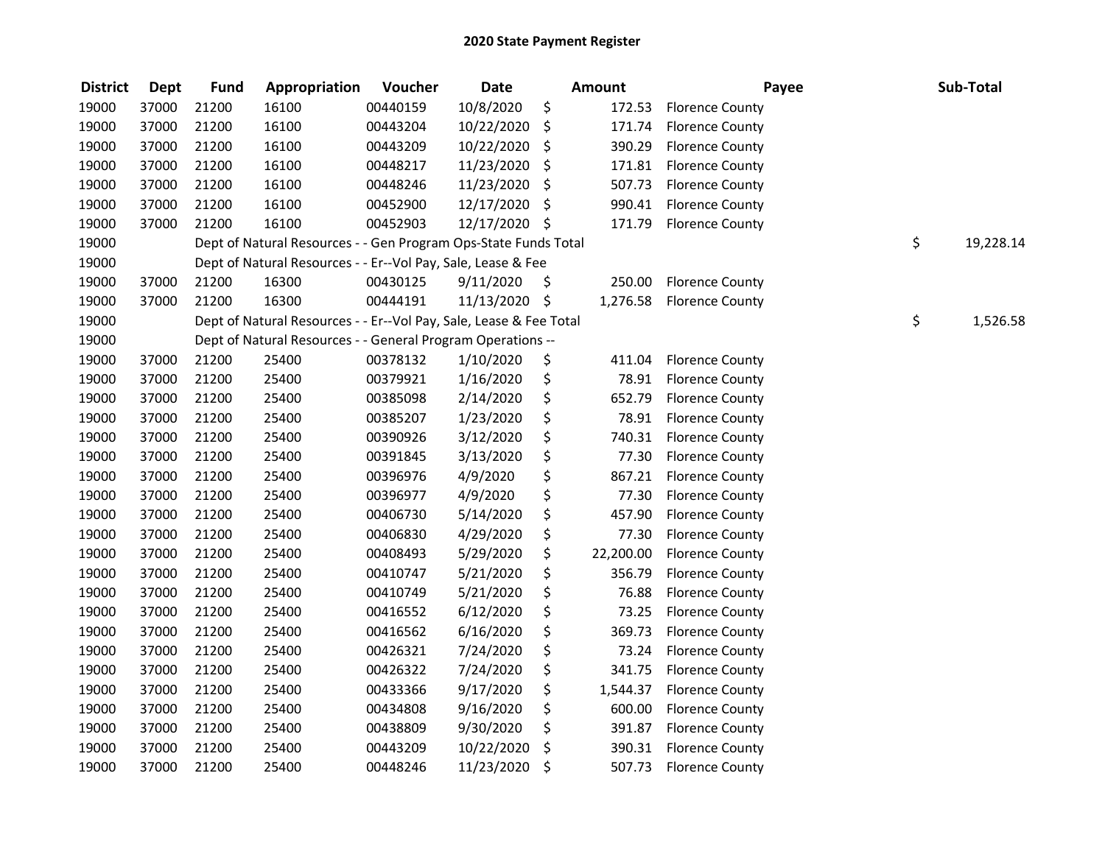| <b>District</b> | <b>Dept</b> | <b>Fund</b> | Appropriation                                                      | Voucher  | <b>Date</b>   | <b>Amount</b>   | Payee                  | Sub-Total       |
|-----------------|-------------|-------------|--------------------------------------------------------------------|----------|---------------|-----------------|------------------------|-----------------|
| 19000           | 37000       | 21200       | 16100                                                              | 00440159 | 10/8/2020     | \$<br>172.53    | <b>Florence County</b> |                 |
| 19000           | 37000       | 21200       | 16100                                                              | 00443204 | 10/22/2020    | \$<br>171.74    | <b>Florence County</b> |                 |
| 19000           | 37000       | 21200       | 16100                                                              | 00443209 | 10/22/2020    | \$<br>390.29    | <b>Florence County</b> |                 |
| 19000           | 37000       | 21200       | 16100                                                              | 00448217 | 11/23/2020    | \$<br>171.81    | <b>Florence County</b> |                 |
| 19000           | 37000       | 21200       | 16100                                                              | 00448246 | 11/23/2020    | \$<br>507.73    | <b>Florence County</b> |                 |
| 19000           | 37000       | 21200       | 16100                                                              | 00452900 | 12/17/2020    | \$<br>990.41    | <b>Florence County</b> |                 |
| 19000           | 37000       | 21200       | 16100                                                              | 00452903 | 12/17/2020 \$ | 171.79          | <b>Florence County</b> |                 |
| 19000           |             |             | Dept of Natural Resources - - Gen Program Ops-State Funds Total    |          |               |                 |                        | \$<br>19,228.14 |
| 19000           |             |             | Dept of Natural Resources - - Er--Vol Pay, Sale, Lease & Fee       |          |               |                 |                        |                 |
| 19000           | 37000       | 21200       | 16300                                                              | 00430125 | 9/11/2020     | \$<br>250.00    | <b>Florence County</b> |                 |
| 19000           | 37000       | 21200       | 16300                                                              | 00444191 | 11/13/2020 \$ | 1,276.58        | <b>Florence County</b> |                 |
| 19000           |             |             | Dept of Natural Resources - - Er--Vol Pay, Sale, Lease & Fee Total |          |               |                 |                        | \$<br>1,526.58  |
| 19000           |             |             | Dept of Natural Resources - - General Program Operations --        |          |               |                 |                        |                 |
| 19000           | 37000       | 21200       | 25400                                                              | 00378132 | 1/10/2020     | \$<br>411.04    | <b>Florence County</b> |                 |
| 19000           | 37000       | 21200       | 25400                                                              | 00379921 | 1/16/2020     | \$<br>78.91     | <b>Florence County</b> |                 |
| 19000           | 37000       | 21200       | 25400                                                              | 00385098 | 2/14/2020     | \$<br>652.79    | <b>Florence County</b> |                 |
| 19000           | 37000       | 21200       | 25400                                                              | 00385207 | 1/23/2020     | \$<br>78.91     | <b>Florence County</b> |                 |
| 19000           | 37000       | 21200       | 25400                                                              | 00390926 | 3/12/2020     | \$<br>740.31    | <b>Florence County</b> |                 |
| 19000           | 37000       | 21200       | 25400                                                              | 00391845 | 3/13/2020     | \$<br>77.30     | <b>Florence County</b> |                 |
| 19000           | 37000       | 21200       | 25400                                                              | 00396976 | 4/9/2020      | \$<br>867.21    | <b>Florence County</b> |                 |
| 19000           | 37000       | 21200       | 25400                                                              | 00396977 | 4/9/2020      | \$<br>77.30     | <b>Florence County</b> |                 |
| 19000           | 37000       | 21200       | 25400                                                              | 00406730 | 5/14/2020     | \$<br>457.90    | <b>Florence County</b> |                 |
| 19000           | 37000       | 21200       | 25400                                                              | 00406830 | 4/29/2020     | \$<br>77.30     | <b>Florence County</b> |                 |
| 19000           | 37000       | 21200       | 25400                                                              | 00408493 | 5/29/2020     | \$<br>22,200.00 | <b>Florence County</b> |                 |
| 19000           | 37000       | 21200       | 25400                                                              | 00410747 | 5/21/2020     | \$<br>356.79    | <b>Florence County</b> |                 |
| 19000           | 37000       | 21200       | 25400                                                              | 00410749 | 5/21/2020     | \$<br>76.88     | <b>Florence County</b> |                 |
| 19000           | 37000       | 21200       | 25400                                                              | 00416552 | 6/12/2020     | \$<br>73.25     | <b>Florence County</b> |                 |
| 19000           | 37000       | 21200       | 25400                                                              | 00416562 | 6/16/2020     | \$<br>369.73    | <b>Florence County</b> |                 |
| 19000           | 37000       | 21200       | 25400                                                              | 00426321 | 7/24/2020     | \$<br>73.24     | <b>Florence County</b> |                 |
| 19000           | 37000       | 21200       | 25400                                                              | 00426322 | 7/24/2020     | \$<br>341.75    | <b>Florence County</b> |                 |
| 19000           | 37000       | 21200       | 25400                                                              | 00433366 | 9/17/2020     | \$<br>1,544.37  | <b>Florence County</b> |                 |
| 19000           | 37000       | 21200       | 25400                                                              | 00434808 | 9/16/2020     | \$<br>600.00    | <b>Florence County</b> |                 |
| 19000           | 37000       | 21200       | 25400                                                              | 00438809 | 9/30/2020     | \$<br>391.87    | <b>Florence County</b> |                 |
| 19000           | 37000       | 21200       | 25400                                                              | 00443209 | 10/22/2020    | \$<br>390.31    | <b>Florence County</b> |                 |
| 19000           | 37000       | 21200       | 25400                                                              | 00448246 | 11/23/2020    | \$<br>507.73    | <b>Florence County</b> |                 |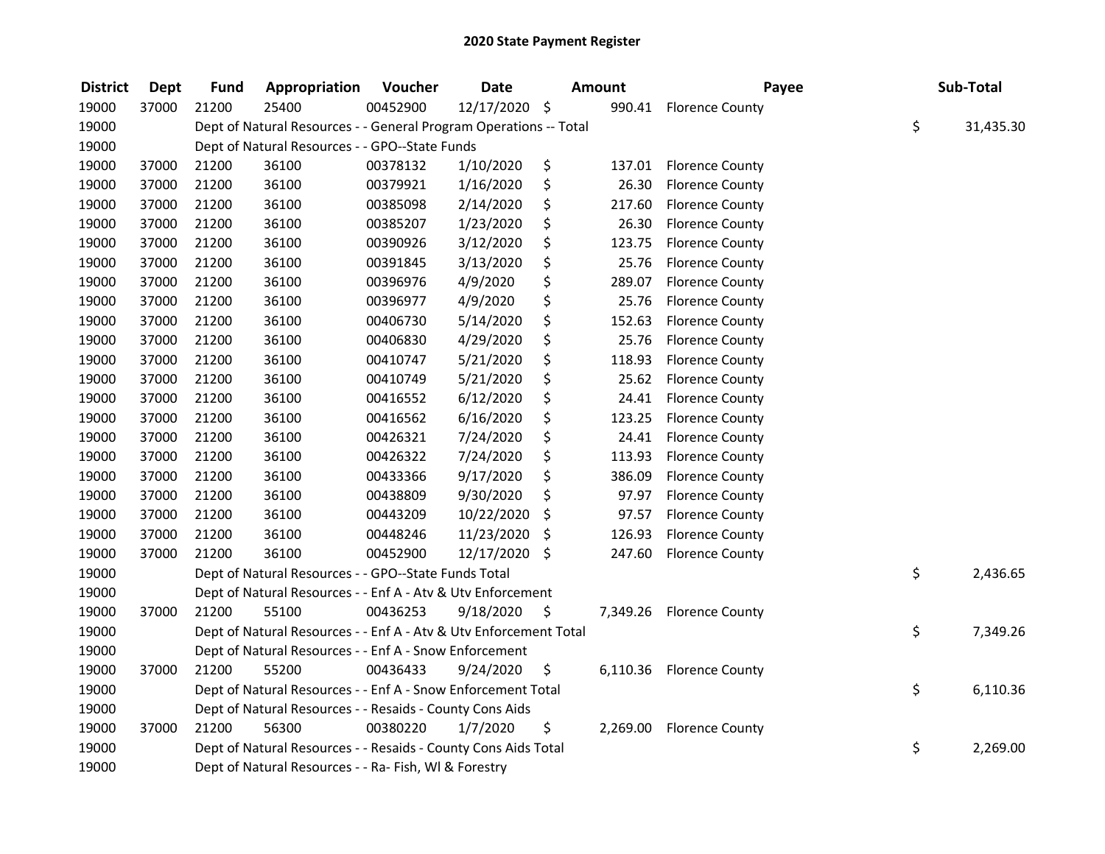| <b>District</b> | <b>Dept</b> | <b>Fund</b> | Appropriation                                                     | Voucher  | <b>Date</b>   | <b>Amount</b>  | Payee                  | Sub-Total       |
|-----------------|-------------|-------------|-------------------------------------------------------------------|----------|---------------|----------------|------------------------|-----------------|
| 19000           | 37000       | 21200       | 25400                                                             | 00452900 | 12/17/2020 \$ | 990.41         | <b>Florence County</b> |                 |
| 19000           |             |             | Dept of Natural Resources - - General Program Operations -- Total |          |               |                |                        | \$<br>31,435.30 |
| 19000           |             |             | Dept of Natural Resources - - GPO--State Funds                    |          |               |                |                        |                 |
| 19000           | 37000       | 21200       | 36100                                                             | 00378132 | 1/10/2020     | \$<br>137.01   | <b>Florence County</b> |                 |
| 19000           | 37000       | 21200       | 36100                                                             | 00379921 | 1/16/2020     | \$<br>26.30    | <b>Florence County</b> |                 |
| 19000           | 37000       | 21200       | 36100                                                             | 00385098 | 2/14/2020     | \$<br>217.60   | <b>Florence County</b> |                 |
| 19000           | 37000       | 21200       | 36100                                                             | 00385207 | 1/23/2020     | \$<br>26.30    | <b>Florence County</b> |                 |
| 19000           | 37000       | 21200       | 36100                                                             | 00390926 | 3/12/2020     | \$<br>123.75   | <b>Florence County</b> |                 |
| 19000           | 37000       | 21200       | 36100                                                             | 00391845 | 3/13/2020     | \$<br>25.76    | <b>Florence County</b> |                 |
| 19000           | 37000       | 21200       | 36100                                                             | 00396976 | 4/9/2020      | \$<br>289.07   | <b>Florence County</b> |                 |
| 19000           | 37000       | 21200       | 36100                                                             | 00396977 | 4/9/2020      | \$<br>25.76    | <b>Florence County</b> |                 |
| 19000           | 37000       | 21200       | 36100                                                             | 00406730 | 5/14/2020     | \$<br>152.63   | <b>Florence County</b> |                 |
| 19000           | 37000       | 21200       | 36100                                                             | 00406830 | 4/29/2020     | \$<br>25.76    | <b>Florence County</b> |                 |
| 19000           | 37000       | 21200       | 36100                                                             | 00410747 | 5/21/2020     | \$<br>118.93   | <b>Florence County</b> |                 |
| 19000           | 37000       | 21200       | 36100                                                             | 00410749 | 5/21/2020     | \$<br>25.62    | <b>Florence County</b> |                 |
| 19000           | 37000       | 21200       | 36100                                                             | 00416552 | 6/12/2020     | \$<br>24.41    | <b>Florence County</b> |                 |
| 19000           | 37000       | 21200       | 36100                                                             | 00416562 | 6/16/2020     | \$<br>123.25   | <b>Florence County</b> |                 |
| 19000           | 37000       | 21200       | 36100                                                             | 00426321 | 7/24/2020     | \$<br>24.41    | <b>Florence County</b> |                 |
| 19000           | 37000       | 21200       | 36100                                                             | 00426322 | 7/24/2020     | \$<br>113.93   | <b>Florence County</b> |                 |
| 19000           | 37000       | 21200       | 36100                                                             | 00433366 | 9/17/2020     | \$<br>386.09   | <b>Florence County</b> |                 |
| 19000           | 37000       | 21200       | 36100                                                             | 00438809 | 9/30/2020     | \$<br>97.97    | <b>Florence County</b> |                 |
| 19000           | 37000       | 21200       | 36100                                                             | 00443209 | 10/22/2020    | \$<br>97.57    | <b>Florence County</b> |                 |
| 19000           | 37000       | 21200       | 36100                                                             | 00448246 | 11/23/2020    | \$<br>126.93   | <b>Florence County</b> |                 |
| 19000           | 37000       | 21200       | 36100                                                             | 00452900 | 12/17/2020    | \$<br>247.60   | <b>Florence County</b> |                 |
| 19000           |             |             | Dept of Natural Resources - - GPO--State Funds Total              |          |               |                |                        | \$<br>2,436.65  |
| 19000           |             |             | Dept of Natural Resources - - Enf A - Atv & Utv Enforcement       |          |               |                |                        |                 |
| 19000           | 37000       | 21200       | 55100                                                             | 00436253 | 9/18/2020     | \$<br>7,349.26 | <b>Florence County</b> |                 |
| 19000           |             |             | Dept of Natural Resources - - Enf A - Atv & Utv Enforcement Total |          |               |                |                        | \$<br>7,349.26  |
| 19000           |             |             | Dept of Natural Resources - - Enf A - Snow Enforcement            |          |               |                |                        |                 |
| 19000           | 37000       | 21200       | 55200                                                             | 00436433 | 9/24/2020     | \$<br>6,110.36 | <b>Florence County</b> |                 |
| 19000           |             |             | Dept of Natural Resources - - Enf A - Snow Enforcement Total      |          |               |                |                        | \$<br>6,110.36  |
| 19000           |             |             | Dept of Natural Resources - - Resaids - County Cons Aids          |          |               |                |                        |                 |
| 19000           | 37000       | 21200       | 56300                                                             | 00380220 | 1/7/2020      | \$<br>2,269.00 | <b>Florence County</b> |                 |
| 19000           |             |             | Dept of Natural Resources - - Resaids - County Cons Aids Total    |          |               |                |                        | \$<br>2,269.00  |
| 19000           |             |             | Dept of Natural Resources - - Ra- Fish, WI & Forestry             |          |               |                |                        |                 |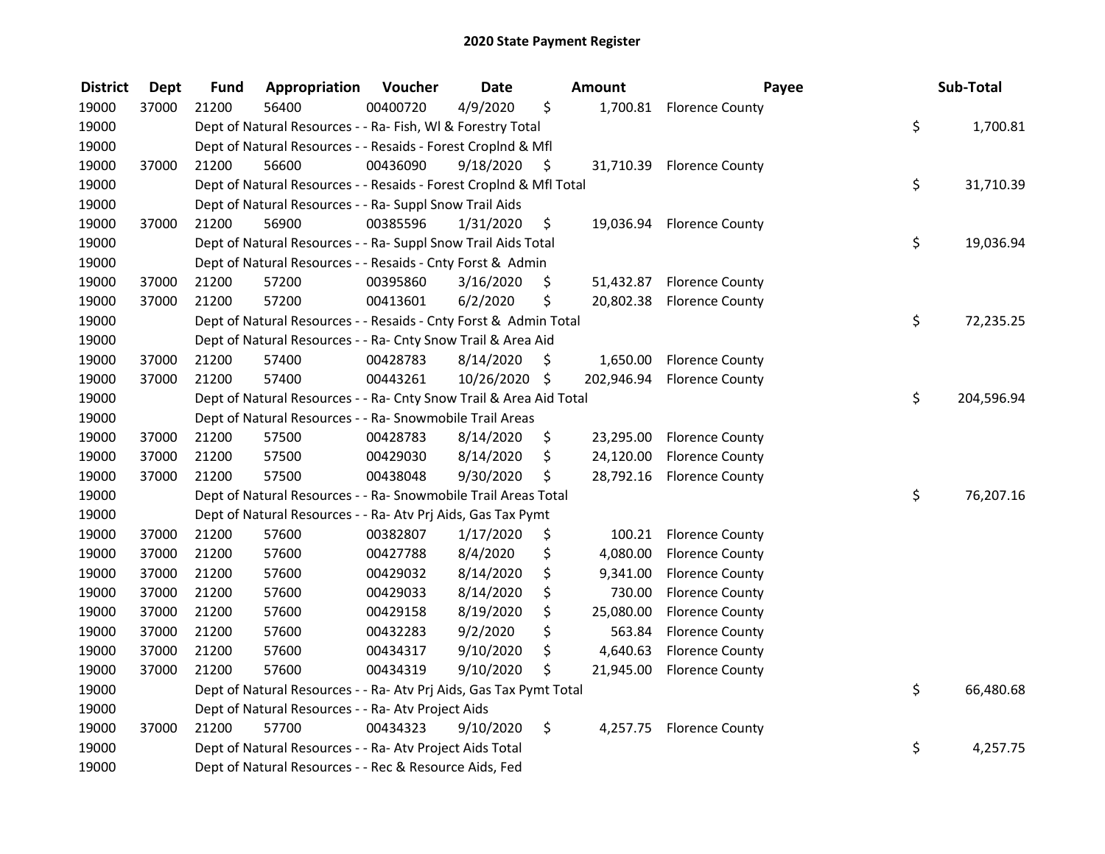| <b>District</b> | <b>Dept</b> | <b>Fund</b> | Appropriation                                                      | Voucher  | <b>Date</b>   |     | Amount     | Payee                     | Sub-Total        |
|-----------------|-------------|-------------|--------------------------------------------------------------------|----------|---------------|-----|------------|---------------------------|------------------|
| 19000           | 37000       | 21200       | 56400                                                              | 00400720 | 4/9/2020      | \$  |            | 1,700.81 Florence County  |                  |
| 19000           |             |             | Dept of Natural Resources - - Ra- Fish, WI & Forestry Total        |          |               |     |            |                           | \$<br>1,700.81   |
| 19000           |             |             | Dept of Natural Resources - - Resaids - Forest Croplnd & Mfl       |          |               |     |            |                           |                  |
| 19000           | 37000       | 21200       | 56600                                                              | 00436090 | 9/18/2020     | \$  |            | 31,710.39 Florence County |                  |
| 19000           |             |             | Dept of Natural Resources - - Resaids - Forest CropInd & Mfl Total |          |               |     |            |                           | \$<br>31,710.39  |
| 19000           |             |             | Dept of Natural Resources - - Ra- Suppl Snow Trail Aids            |          |               |     |            |                           |                  |
| 19000           | 37000       | 21200       | 56900                                                              | 00385596 | 1/31/2020     | \$  |            | 19,036.94 Florence County |                  |
| 19000           |             |             | Dept of Natural Resources - - Ra- Suppl Snow Trail Aids Total      |          |               |     |            |                           | \$<br>19,036.94  |
| 19000           |             |             | Dept of Natural Resources - - Resaids - Cnty Forst & Admin         |          |               |     |            |                           |                  |
| 19000           | 37000       | 21200       | 57200                                                              | 00395860 | 3/16/2020     | \$  |            | 51,432.87 Florence County |                  |
| 19000           | 37000       | 21200       | 57200                                                              | 00413601 | 6/2/2020      | \$  | 20,802.38  | <b>Florence County</b>    |                  |
| 19000           |             |             | Dept of Natural Resources - - Resaids - Cnty Forst & Admin Total   |          |               |     |            |                           | \$<br>72,235.25  |
| 19000           |             |             | Dept of Natural Resources - - Ra- Cnty Snow Trail & Area Aid       |          |               |     |            |                           |                  |
| 19000           | 37000       | 21200       | 57400                                                              | 00428783 | 8/14/2020     | \$. | 1,650.00   | <b>Florence County</b>    |                  |
| 19000           | 37000       | 21200       | 57400                                                              | 00443261 | 10/26/2020 \$ |     | 202,946.94 | <b>Florence County</b>    |                  |
| 19000           |             |             | Dept of Natural Resources - - Ra- Cnty Snow Trail & Area Aid Total |          |               |     |            |                           | \$<br>204,596.94 |
| 19000           |             |             | Dept of Natural Resources - - Ra- Snowmobile Trail Areas           |          |               |     |            |                           |                  |
| 19000           | 37000       | 21200       | 57500                                                              | 00428783 | 8/14/2020     | \$  | 23,295.00  | <b>Florence County</b>    |                  |
| 19000           | 37000       | 21200       | 57500                                                              | 00429030 | 8/14/2020     | \$  | 24,120.00  | <b>Florence County</b>    |                  |
| 19000           | 37000       | 21200       | 57500                                                              | 00438048 | 9/30/2020     | \$  | 28,792.16  | <b>Florence County</b>    |                  |
| 19000           |             |             | Dept of Natural Resources - - Ra- Snowmobile Trail Areas Total     |          |               |     |            |                           | \$<br>76,207.16  |
| 19000           |             |             | Dept of Natural Resources - - Ra- Atv Prj Aids, Gas Tax Pymt       |          |               |     |            |                           |                  |
| 19000           | 37000       | 21200       | 57600                                                              | 00382807 | 1/17/2020     | \$  | 100.21     | <b>Florence County</b>    |                  |
| 19000           | 37000       | 21200       | 57600                                                              | 00427788 | 8/4/2020      | \$  | 4,080.00   | <b>Florence County</b>    |                  |
| 19000           | 37000       | 21200       | 57600                                                              | 00429032 | 8/14/2020     | \$  | 9,341.00   | <b>Florence County</b>    |                  |
| 19000           | 37000       | 21200       | 57600                                                              | 00429033 | 8/14/2020     | \$  | 730.00     | <b>Florence County</b>    |                  |
| 19000           | 37000       | 21200       | 57600                                                              | 00429158 | 8/19/2020     | \$  | 25,080.00  | <b>Florence County</b>    |                  |
| 19000           | 37000       | 21200       | 57600                                                              | 00432283 | 9/2/2020      | \$  | 563.84     | <b>Florence County</b>    |                  |
| 19000           | 37000       | 21200       | 57600                                                              | 00434317 | 9/10/2020     | \$  | 4,640.63   | <b>Florence County</b>    |                  |
| 19000           | 37000       | 21200       | 57600                                                              | 00434319 | 9/10/2020     | \$  | 21,945.00  | <b>Florence County</b>    |                  |
| 19000           |             |             | Dept of Natural Resources - - Ra- Atv Prj Aids, Gas Tax Pymt Total |          |               |     |            |                           | \$<br>66,480.68  |
| 19000           |             |             | Dept of Natural Resources - - Ra- Atv Project Aids                 |          |               |     |            |                           |                  |
| 19000           | 37000       | 21200       | 57700                                                              | 00434323 | 9/10/2020     | \$  | 4,257.75   | <b>Florence County</b>    |                  |
| 19000           |             |             | Dept of Natural Resources - - Ra- Atv Project Aids Total           |          |               |     |            |                           | \$<br>4,257.75   |
| 19000           |             |             | Dept of Natural Resources - - Rec & Resource Aids, Fed             |          |               |     |            |                           |                  |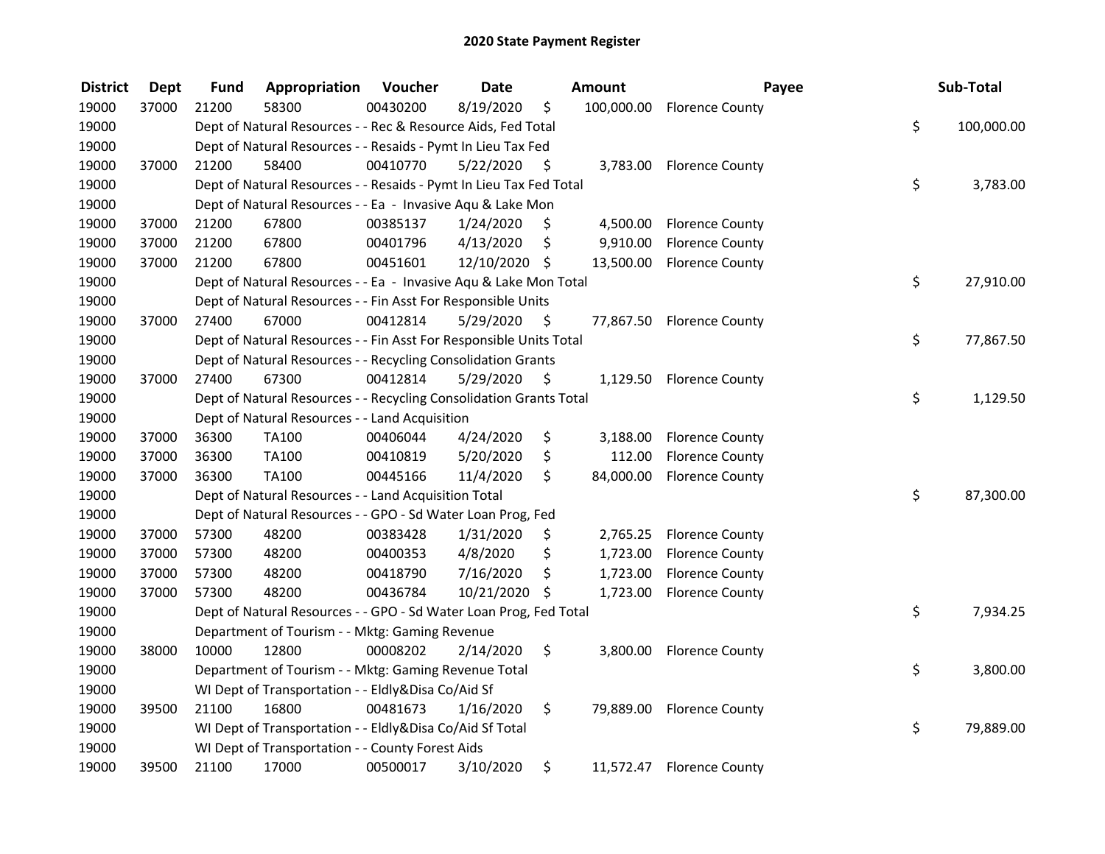| <b>District</b> | <b>Dept</b> | Fund  | Appropriation                                                      | Voucher  | <b>Date</b>   | <b>Amount</b>   | Payee                      | Sub-Total        |
|-----------------|-------------|-------|--------------------------------------------------------------------|----------|---------------|-----------------|----------------------------|------------------|
| 19000           | 37000       | 21200 | 58300                                                              | 00430200 | 8/19/2020     | \$              | 100,000.00 Florence County |                  |
| 19000           |             |       | Dept of Natural Resources - - Rec & Resource Aids, Fed Total       |          |               |                 |                            | \$<br>100,000.00 |
| 19000           |             |       | Dept of Natural Resources - - Resaids - Pymt In Lieu Tax Fed       |          |               |                 |                            |                  |
| 19000           | 37000       | 21200 | 58400                                                              | 00410770 | 5/22/2020     | \$              | 3,783.00 Florence County   |                  |
| 19000           |             |       | Dept of Natural Resources - - Resaids - Pymt In Lieu Tax Fed Total |          |               |                 |                            | \$<br>3,783.00   |
| 19000           |             |       | Dept of Natural Resources - - Ea - Invasive Aqu & Lake Mon         |          |               |                 |                            |                  |
| 19000           | 37000       | 21200 | 67800                                                              | 00385137 | 1/24/2020     | \$              | 4,500.00 Florence County   |                  |
| 19000           | 37000       | 21200 | 67800                                                              | 00401796 | 4/13/2020     | \$<br>9,910.00  | <b>Florence County</b>     |                  |
| 19000           | 37000       | 21200 | 67800                                                              | 00451601 | 12/10/2020 \$ |                 | 13,500.00 Florence County  |                  |
| 19000           |             |       | Dept of Natural Resources - - Ea - Invasive Aqu & Lake Mon Total   |          |               |                 |                            | \$<br>27,910.00  |
| 19000           |             |       | Dept of Natural Resources - - Fin Asst For Responsible Units       |          |               |                 |                            |                  |
| 19000           | 37000       | 27400 | 67000                                                              | 00412814 | 5/29/2020     | \$              | 77,867.50 Florence County  |                  |
| 19000           |             |       | Dept of Natural Resources - - Fin Asst For Responsible Units Total |          |               |                 |                            | \$<br>77,867.50  |
| 19000           |             |       | Dept of Natural Resources - - Recycling Consolidation Grants       |          |               |                 |                            |                  |
| 19000           | 37000       | 27400 | 67300                                                              | 00412814 | 5/29/2020     | \$              | 1,129.50 Florence County   |                  |
| 19000           |             |       | Dept of Natural Resources - - Recycling Consolidation Grants Total |          |               |                 |                            | \$<br>1,129.50   |
| 19000           |             |       | Dept of Natural Resources - - Land Acquisition                     |          |               |                 |                            |                  |
| 19000           | 37000       | 36300 | <b>TA100</b>                                                       | 00406044 | 4/24/2020     | \$<br>3,188.00  | <b>Florence County</b>     |                  |
| 19000           | 37000       | 36300 | TA100                                                              | 00410819 | 5/20/2020     | \$<br>112.00    | <b>Florence County</b>     |                  |
| 19000           | 37000       | 36300 | <b>TA100</b>                                                       | 00445166 | 11/4/2020     | \$<br>84,000.00 | <b>Florence County</b>     |                  |
| 19000           |             |       | Dept of Natural Resources - - Land Acquisition Total               |          |               |                 |                            | \$<br>87,300.00  |
| 19000           |             |       | Dept of Natural Resources - - GPO - Sd Water Loan Prog, Fed        |          |               |                 |                            |                  |
| 19000           | 37000       | 57300 | 48200                                                              | 00383428 | 1/31/2020     | \$<br>2,765.25  | <b>Florence County</b>     |                  |
| 19000           | 37000       | 57300 | 48200                                                              | 00400353 | 4/8/2020      | \$<br>1,723.00  | <b>Florence County</b>     |                  |
| 19000           | 37000       | 57300 | 48200                                                              | 00418790 | 7/16/2020     | \$<br>1,723.00  | <b>Florence County</b>     |                  |
| 19000           | 37000       | 57300 | 48200                                                              | 00436784 | 10/21/2020 \$ | 1,723.00        | <b>Florence County</b>     |                  |
| 19000           |             |       | Dept of Natural Resources - - GPO - Sd Water Loan Prog, Fed Total  |          |               |                 |                            | \$<br>7,934.25   |
| 19000           |             |       | Department of Tourism - - Mktg: Gaming Revenue                     |          |               |                 |                            |                  |
| 19000           | 38000       | 10000 | 12800                                                              | 00008202 | 2/14/2020     | \$              | 3,800.00 Florence County   |                  |
| 19000           |             |       | Department of Tourism - - Mktg: Gaming Revenue Total               |          |               |                 |                            | \$<br>3,800.00   |
| 19000           |             |       | WI Dept of Transportation - - Eldly&Disa Co/Aid Sf                 |          |               |                 |                            |                  |
| 19000           | 39500       | 21100 | 16800                                                              | 00481673 | 1/16/2020     | \$              | 79,889.00 Florence County  |                  |
| 19000           |             |       | WI Dept of Transportation - - Eldly&Disa Co/Aid Sf Total           |          |               |                 |                            | \$<br>79,889.00  |
| 19000           |             |       | WI Dept of Transportation - - County Forest Aids                   |          |               |                 |                            |                  |
| 19000           | 39500       | 21100 | 17000                                                              | 00500017 | 3/10/2020     | \$<br>11,572.47 | <b>Florence County</b>     |                  |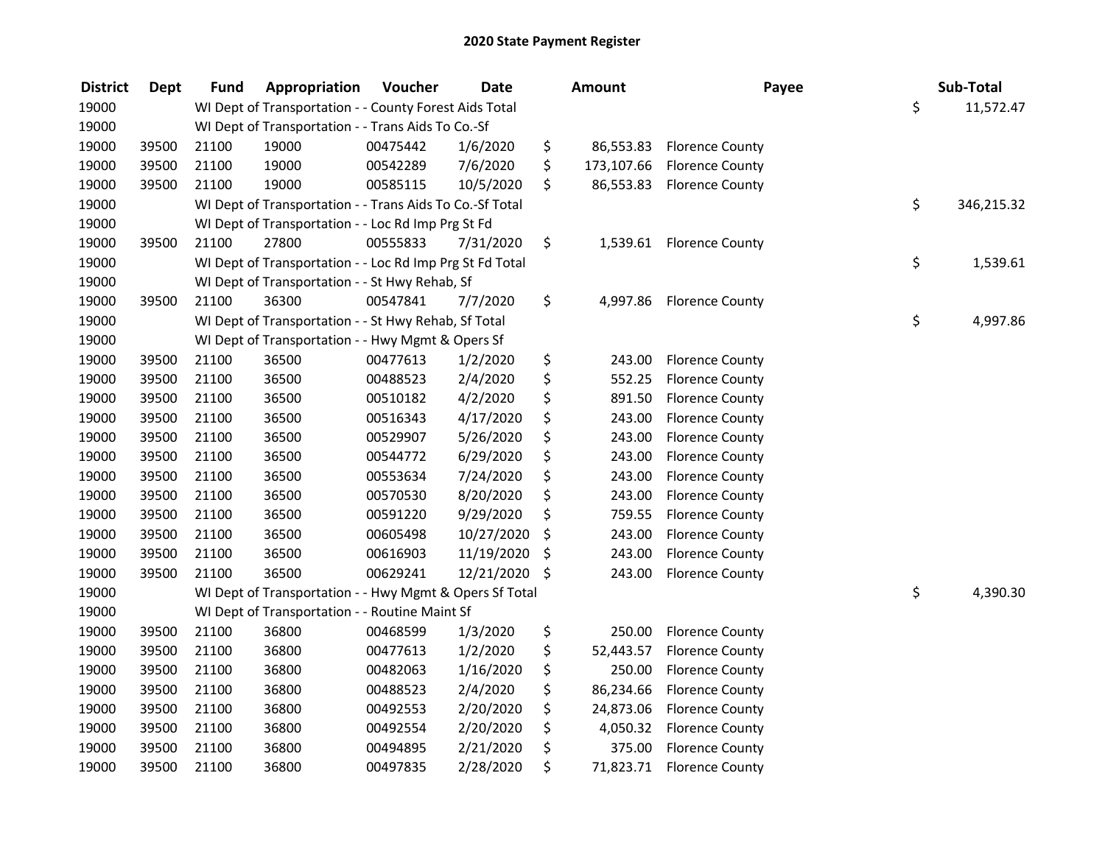| <b>District</b> | <b>Dept</b> | <b>Fund</b> | Appropriation                                            | Voucher  | <b>Date</b>   | <b>Amount</b>    | Payee                    | Sub-Total        |
|-----------------|-------------|-------------|----------------------------------------------------------|----------|---------------|------------------|--------------------------|------------------|
| 19000           |             |             | WI Dept of Transportation - - County Forest Aids Total   |          |               |                  |                          | \$<br>11,572.47  |
| 19000           |             |             | WI Dept of Transportation - - Trans Aids To Co.-Sf       |          |               |                  |                          |                  |
| 19000           | 39500       | 21100       | 19000                                                    | 00475442 | 1/6/2020      | \$<br>86,553.83  | <b>Florence County</b>   |                  |
| 19000           | 39500       | 21100       | 19000                                                    | 00542289 | 7/6/2020      | \$<br>173,107.66 | <b>Florence County</b>   |                  |
| 19000           | 39500       | 21100       | 19000                                                    | 00585115 | 10/5/2020     | \$<br>86,553.83  | <b>Florence County</b>   |                  |
| 19000           |             |             | WI Dept of Transportation - - Trans Aids To Co.-Sf Total |          |               |                  |                          | \$<br>346,215.32 |
| 19000           |             |             | WI Dept of Transportation - - Loc Rd Imp Prg St Fd       |          |               |                  |                          |                  |
| 19000           | 39500       | 21100       | 27800                                                    | 00555833 | 7/31/2020     | \$               | 1,539.61 Florence County |                  |
| 19000           |             |             | WI Dept of Transportation - - Loc Rd Imp Prg St Fd Total |          |               |                  |                          | \$<br>1,539.61   |
| 19000           |             |             | WI Dept of Transportation - - St Hwy Rehab, Sf           |          |               |                  |                          |                  |
| 19000           | 39500       | 21100       | 36300                                                    | 00547841 | 7/7/2020      | \$<br>4,997.86   | <b>Florence County</b>   |                  |
| 19000           |             |             | WI Dept of Transportation - - St Hwy Rehab, Sf Total     |          |               |                  |                          | \$<br>4,997.86   |
| 19000           |             |             | WI Dept of Transportation - - Hwy Mgmt & Opers Sf        |          |               |                  |                          |                  |
| 19000           | 39500       | 21100       | 36500                                                    | 00477613 | 1/2/2020      | \$<br>243.00     | <b>Florence County</b>   |                  |
| 19000           | 39500       | 21100       | 36500                                                    | 00488523 | 2/4/2020      | \$<br>552.25     | <b>Florence County</b>   |                  |
| 19000           | 39500       | 21100       | 36500                                                    | 00510182 | 4/2/2020      | \$<br>891.50     | <b>Florence County</b>   |                  |
| 19000           | 39500       | 21100       | 36500                                                    | 00516343 | 4/17/2020     | \$<br>243.00     | <b>Florence County</b>   |                  |
| 19000           | 39500       | 21100       | 36500                                                    | 00529907 | 5/26/2020     | \$<br>243.00     | <b>Florence County</b>   |                  |
| 19000           | 39500       | 21100       | 36500                                                    | 00544772 | 6/29/2020     | \$<br>243.00     | <b>Florence County</b>   |                  |
| 19000           | 39500       | 21100       | 36500                                                    | 00553634 | 7/24/2020     | \$<br>243.00     | <b>Florence County</b>   |                  |
| 19000           | 39500       | 21100       | 36500                                                    | 00570530 | 8/20/2020     | \$<br>243.00     | <b>Florence County</b>   |                  |
| 19000           | 39500       | 21100       | 36500                                                    | 00591220 | 9/29/2020     | \$<br>759.55     | <b>Florence County</b>   |                  |
| 19000           | 39500       | 21100       | 36500                                                    | 00605498 | 10/27/2020    | \$<br>243.00     | <b>Florence County</b>   |                  |
| 19000           | 39500       | 21100       | 36500                                                    | 00616903 | 11/19/2020    | \$<br>243.00     | <b>Florence County</b>   |                  |
| 19000           | 39500       | 21100       | 36500                                                    | 00629241 | 12/21/2020 \$ | 243.00           | <b>Florence County</b>   |                  |
| 19000           |             |             | WI Dept of Transportation - - Hwy Mgmt & Opers Sf Total  |          |               |                  |                          | \$<br>4,390.30   |
| 19000           |             |             | WI Dept of Transportation - - Routine Maint Sf           |          |               |                  |                          |                  |
| 19000           | 39500       | 21100       | 36800                                                    | 00468599 | 1/3/2020      | \$<br>250.00     | <b>Florence County</b>   |                  |
| 19000           | 39500       | 21100       | 36800                                                    | 00477613 | 1/2/2020      | \$<br>52,443.57  | <b>Florence County</b>   |                  |
| 19000           | 39500       | 21100       | 36800                                                    | 00482063 | 1/16/2020     | \$<br>250.00     | <b>Florence County</b>   |                  |
| 19000           | 39500       | 21100       | 36800                                                    | 00488523 | 2/4/2020      | \$<br>86,234.66  | <b>Florence County</b>   |                  |
| 19000           | 39500       | 21100       | 36800                                                    | 00492553 | 2/20/2020     | \$<br>24,873.06  | <b>Florence County</b>   |                  |
| 19000           | 39500       | 21100       | 36800                                                    | 00492554 | 2/20/2020     | \$<br>4,050.32   | <b>Florence County</b>   |                  |
| 19000           | 39500       | 21100       | 36800                                                    | 00494895 | 2/21/2020     | \$<br>375.00     | <b>Florence County</b>   |                  |
| 19000           | 39500       | 21100       | 36800                                                    | 00497835 | 2/28/2020     | \$<br>71,823.71  | <b>Florence County</b>   |                  |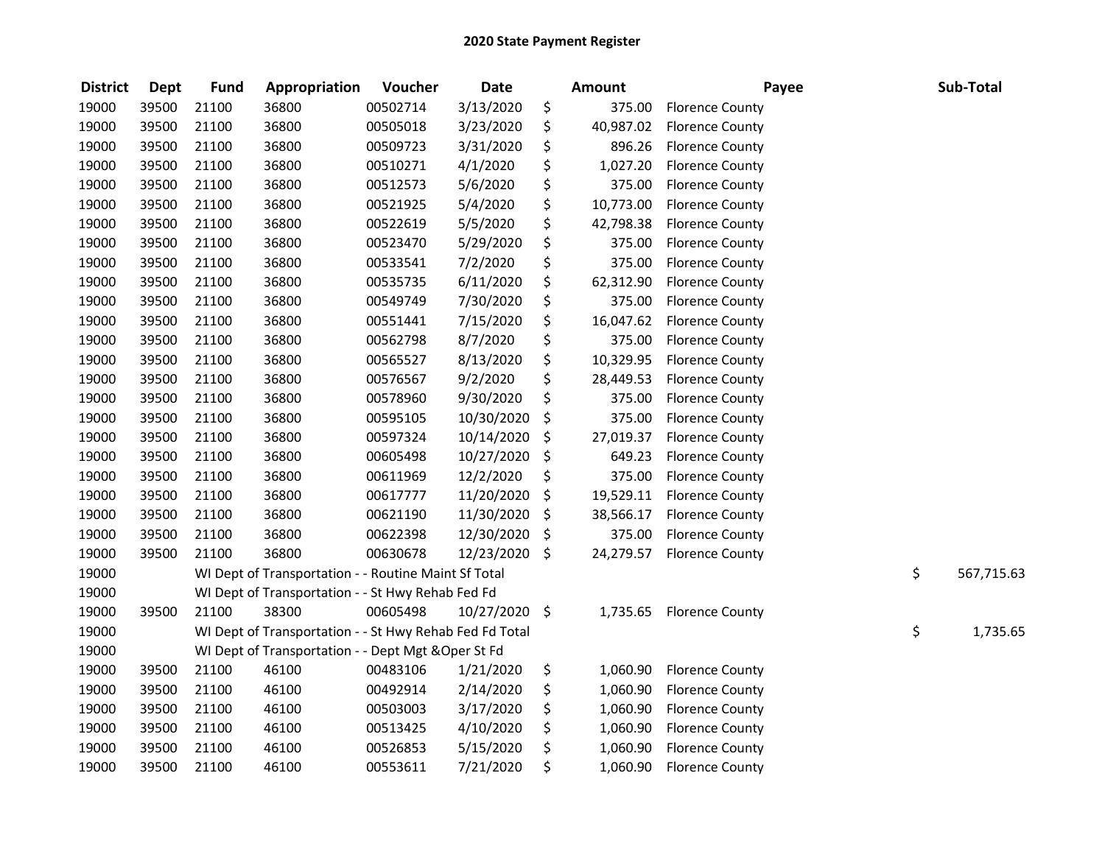| <b>District</b> | <b>Dept</b> | <b>Fund</b> | Appropriation                                           | Voucher  | <b>Date</b> | <b>Amount</b>   | Payee                  | Sub-Total        |
|-----------------|-------------|-------------|---------------------------------------------------------|----------|-------------|-----------------|------------------------|------------------|
| 19000           | 39500       | 21100       | 36800                                                   | 00502714 | 3/13/2020   | \$<br>375.00    | <b>Florence County</b> |                  |
| 19000           | 39500       | 21100       | 36800                                                   | 00505018 | 3/23/2020   | \$<br>40,987.02 | <b>Florence County</b> |                  |
| 19000           | 39500       | 21100       | 36800                                                   | 00509723 | 3/31/2020   | \$<br>896.26    | <b>Florence County</b> |                  |
| 19000           | 39500       | 21100       | 36800                                                   | 00510271 | 4/1/2020    | \$<br>1,027.20  | <b>Florence County</b> |                  |
| 19000           | 39500       | 21100       | 36800                                                   | 00512573 | 5/6/2020    | \$<br>375.00    | <b>Florence County</b> |                  |
| 19000           | 39500       | 21100       | 36800                                                   | 00521925 | 5/4/2020    | \$<br>10,773.00 | <b>Florence County</b> |                  |
| 19000           | 39500       | 21100       | 36800                                                   | 00522619 | 5/5/2020    | \$<br>42,798.38 | <b>Florence County</b> |                  |
| 19000           | 39500       | 21100       | 36800                                                   | 00523470 | 5/29/2020   | \$<br>375.00    | <b>Florence County</b> |                  |
| 19000           | 39500       | 21100       | 36800                                                   | 00533541 | 7/2/2020    | \$<br>375.00    | <b>Florence County</b> |                  |
| 19000           | 39500       | 21100       | 36800                                                   | 00535735 | 6/11/2020   | \$<br>62,312.90 | <b>Florence County</b> |                  |
| 19000           | 39500       | 21100       | 36800                                                   | 00549749 | 7/30/2020   | \$<br>375.00    | <b>Florence County</b> |                  |
| 19000           | 39500       | 21100       | 36800                                                   | 00551441 | 7/15/2020   | \$<br>16,047.62 | <b>Florence County</b> |                  |
| 19000           | 39500       | 21100       | 36800                                                   | 00562798 | 8/7/2020    | \$<br>375.00    | <b>Florence County</b> |                  |
| 19000           | 39500       | 21100       | 36800                                                   | 00565527 | 8/13/2020   | \$<br>10,329.95 | <b>Florence County</b> |                  |
| 19000           | 39500       | 21100       | 36800                                                   | 00576567 | 9/2/2020    | \$<br>28,449.53 | <b>Florence County</b> |                  |
| 19000           | 39500       | 21100       | 36800                                                   | 00578960 | 9/30/2020   | \$<br>375.00    | <b>Florence County</b> |                  |
| 19000           | 39500       | 21100       | 36800                                                   | 00595105 | 10/30/2020  | \$<br>375.00    | <b>Florence County</b> |                  |
| 19000           | 39500       | 21100       | 36800                                                   | 00597324 | 10/14/2020  | \$<br>27,019.37 | <b>Florence County</b> |                  |
| 19000           | 39500       | 21100       | 36800                                                   | 00605498 | 10/27/2020  | \$<br>649.23    | <b>Florence County</b> |                  |
| 19000           | 39500       | 21100       | 36800                                                   | 00611969 | 12/2/2020   | \$<br>375.00    | <b>Florence County</b> |                  |
| 19000           | 39500       | 21100       | 36800                                                   | 00617777 | 11/20/2020  | \$<br>19,529.11 | <b>Florence County</b> |                  |
| 19000           | 39500       | 21100       | 36800                                                   | 00621190 | 11/30/2020  | \$<br>38,566.17 | <b>Florence County</b> |                  |
| 19000           | 39500       | 21100       | 36800                                                   | 00622398 | 12/30/2020  | \$<br>375.00    | <b>Florence County</b> |                  |
| 19000           | 39500       | 21100       | 36800                                                   | 00630678 | 12/23/2020  | \$<br>24,279.57 | <b>Florence County</b> |                  |
| 19000           |             |             | WI Dept of Transportation - - Routine Maint Sf Total    |          |             |                 |                        | \$<br>567,715.63 |
| 19000           |             |             | WI Dept of Transportation - - St Hwy Rehab Fed Fd       |          |             |                 |                        |                  |
| 19000           | 39500       | 21100       | 38300                                                   | 00605498 | 10/27/2020  | \$<br>1,735.65  | <b>Florence County</b> |                  |
| 19000           |             |             | WI Dept of Transportation - - St Hwy Rehab Fed Fd Total |          |             |                 |                        | \$<br>1,735.65   |
| 19000           |             |             | WI Dept of Transportation - - Dept Mgt & Oper St Fd     |          |             |                 |                        |                  |
| 19000           | 39500       | 21100       | 46100                                                   | 00483106 | 1/21/2020   | \$<br>1,060.90  | <b>Florence County</b> |                  |
| 19000           | 39500       | 21100       | 46100                                                   | 00492914 | 2/14/2020   | \$<br>1,060.90  | <b>Florence County</b> |                  |
| 19000           | 39500       | 21100       | 46100                                                   | 00503003 | 3/17/2020   | \$<br>1,060.90  | <b>Florence County</b> |                  |
| 19000           | 39500       | 21100       | 46100                                                   | 00513425 | 4/10/2020   | \$<br>1,060.90  | <b>Florence County</b> |                  |
| 19000           | 39500       | 21100       | 46100                                                   | 00526853 | 5/15/2020   | \$<br>1,060.90  | <b>Florence County</b> |                  |
| 19000           | 39500       | 21100       | 46100                                                   | 00553611 | 7/21/2020   | \$<br>1,060.90  | <b>Florence County</b> |                  |
|                 |             |             |                                                         |          |             |                 |                        |                  |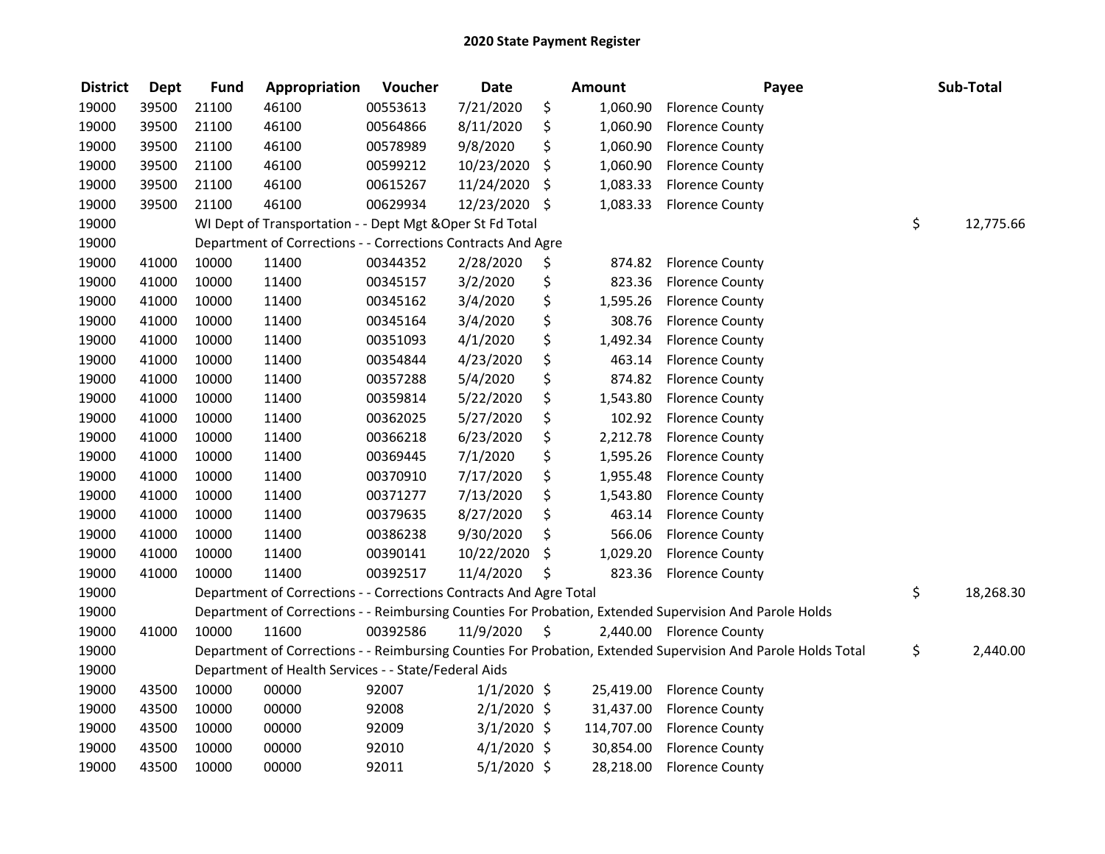| <b>District</b> | <b>Dept</b> | <b>Fund</b> | Appropriation                                                      | Voucher  | <b>Date</b>   | <b>Amount</b>  | Payee                                                                                                         | Sub-Total       |
|-----------------|-------------|-------------|--------------------------------------------------------------------|----------|---------------|----------------|---------------------------------------------------------------------------------------------------------------|-----------------|
| 19000           | 39500       | 21100       | 46100                                                              | 00553613 | 7/21/2020     | \$<br>1,060.90 | <b>Florence County</b>                                                                                        |                 |
| 19000           | 39500       | 21100       | 46100                                                              | 00564866 | 8/11/2020     | \$<br>1,060.90 | <b>Florence County</b>                                                                                        |                 |
| 19000           | 39500       | 21100       | 46100                                                              | 00578989 | 9/8/2020      | \$<br>1,060.90 | <b>Florence County</b>                                                                                        |                 |
| 19000           | 39500       | 21100       | 46100                                                              | 00599212 | 10/23/2020    | \$<br>1,060.90 | <b>Florence County</b>                                                                                        |                 |
| 19000           | 39500       | 21100       | 46100                                                              | 00615267 | 11/24/2020    | \$<br>1,083.33 | <b>Florence County</b>                                                                                        |                 |
| 19000           | 39500       | 21100       | 46100                                                              | 00629934 | 12/23/2020 \$ | 1,083.33       | <b>Florence County</b>                                                                                        |                 |
| 19000           |             |             | WI Dept of Transportation - - Dept Mgt & Oper St Fd Total          |          |               |                |                                                                                                               | \$<br>12,775.66 |
| 19000           |             |             | Department of Corrections - - Corrections Contracts And Agre       |          |               |                |                                                                                                               |                 |
| 19000           | 41000       | 10000       | 11400                                                              | 00344352 | 2/28/2020     | \$<br>874.82   | <b>Florence County</b>                                                                                        |                 |
| 19000           | 41000       | 10000       | 11400                                                              | 00345157 | 3/2/2020      | \$<br>823.36   | <b>Florence County</b>                                                                                        |                 |
| 19000           | 41000       | 10000       | 11400                                                              | 00345162 | 3/4/2020      | \$<br>1,595.26 | <b>Florence County</b>                                                                                        |                 |
| 19000           | 41000       | 10000       | 11400                                                              | 00345164 | 3/4/2020      | \$<br>308.76   | <b>Florence County</b>                                                                                        |                 |
| 19000           | 41000       | 10000       | 11400                                                              | 00351093 | 4/1/2020      | \$<br>1,492.34 | <b>Florence County</b>                                                                                        |                 |
| 19000           | 41000       | 10000       | 11400                                                              | 00354844 | 4/23/2020     | \$<br>463.14   | <b>Florence County</b>                                                                                        |                 |
| 19000           | 41000       | 10000       | 11400                                                              | 00357288 | 5/4/2020      | \$<br>874.82   | <b>Florence County</b>                                                                                        |                 |
| 19000           | 41000       | 10000       | 11400                                                              | 00359814 | 5/22/2020     | \$<br>1,543.80 | <b>Florence County</b>                                                                                        |                 |
| 19000           | 41000       | 10000       | 11400                                                              | 00362025 | 5/27/2020     | \$<br>102.92   | <b>Florence County</b>                                                                                        |                 |
| 19000           | 41000       | 10000       | 11400                                                              | 00366218 | 6/23/2020     | \$<br>2,212.78 | <b>Florence County</b>                                                                                        |                 |
| 19000           | 41000       | 10000       | 11400                                                              | 00369445 | 7/1/2020      | \$<br>1,595.26 | <b>Florence County</b>                                                                                        |                 |
| 19000           | 41000       | 10000       | 11400                                                              | 00370910 | 7/17/2020     | \$<br>1,955.48 | <b>Florence County</b>                                                                                        |                 |
| 19000           | 41000       | 10000       | 11400                                                              | 00371277 | 7/13/2020     | \$<br>1,543.80 | <b>Florence County</b>                                                                                        |                 |
| 19000           | 41000       | 10000       | 11400                                                              | 00379635 | 8/27/2020     | \$<br>463.14   | <b>Florence County</b>                                                                                        |                 |
| 19000           | 41000       | 10000       | 11400                                                              | 00386238 | 9/30/2020     | \$<br>566.06   | <b>Florence County</b>                                                                                        |                 |
| 19000           | 41000       | 10000       | 11400                                                              | 00390141 | 10/22/2020    | \$<br>1,029.20 | <b>Florence County</b>                                                                                        |                 |
| 19000           | 41000       | 10000       | 11400                                                              | 00392517 | 11/4/2020     | \$<br>823.36   | <b>Florence County</b>                                                                                        |                 |
| 19000           |             |             | Department of Corrections - - Corrections Contracts And Agre Total |          |               |                |                                                                                                               | \$<br>18,268.30 |
| 19000           |             |             |                                                                    |          |               |                | Department of Corrections - - Reimbursing Counties For Probation, Extended Supervision And Parole Holds       |                 |
| 19000           | 41000       | 10000       | 11600                                                              | 00392586 | 11/9/2020     | \$             | 2,440.00 Florence County                                                                                      |                 |
| 19000           |             |             |                                                                    |          |               |                | Department of Corrections - - Reimbursing Counties For Probation, Extended Supervision And Parole Holds Total | \$<br>2,440.00  |
| 19000           |             |             | Department of Health Services - - State/Federal Aids               |          |               |                |                                                                                                               |                 |
| 19000           | 43500       | 10000       | 00000                                                              | 92007    | $1/1/2020$ \$ | 25,419.00      | <b>Florence County</b>                                                                                        |                 |
| 19000           | 43500       | 10000       | 00000                                                              | 92008    | $2/1/2020$ \$ | 31,437.00      | <b>Florence County</b>                                                                                        |                 |
| 19000           | 43500       | 10000       | 00000                                                              | 92009    | $3/1/2020$ \$ | 114,707.00     | <b>Florence County</b>                                                                                        |                 |
| 19000           | 43500       | 10000       | 00000                                                              | 92010    | $4/1/2020$ \$ | 30,854.00      | <b>Florence County</b>                                                                                        |                 |
| 19000           | 43500       | 10000       | 00000                                                              | 92011    | $5/1/2020$ \$ | 28,218.00      | <b>Florence County</b>                                                                                        |                 |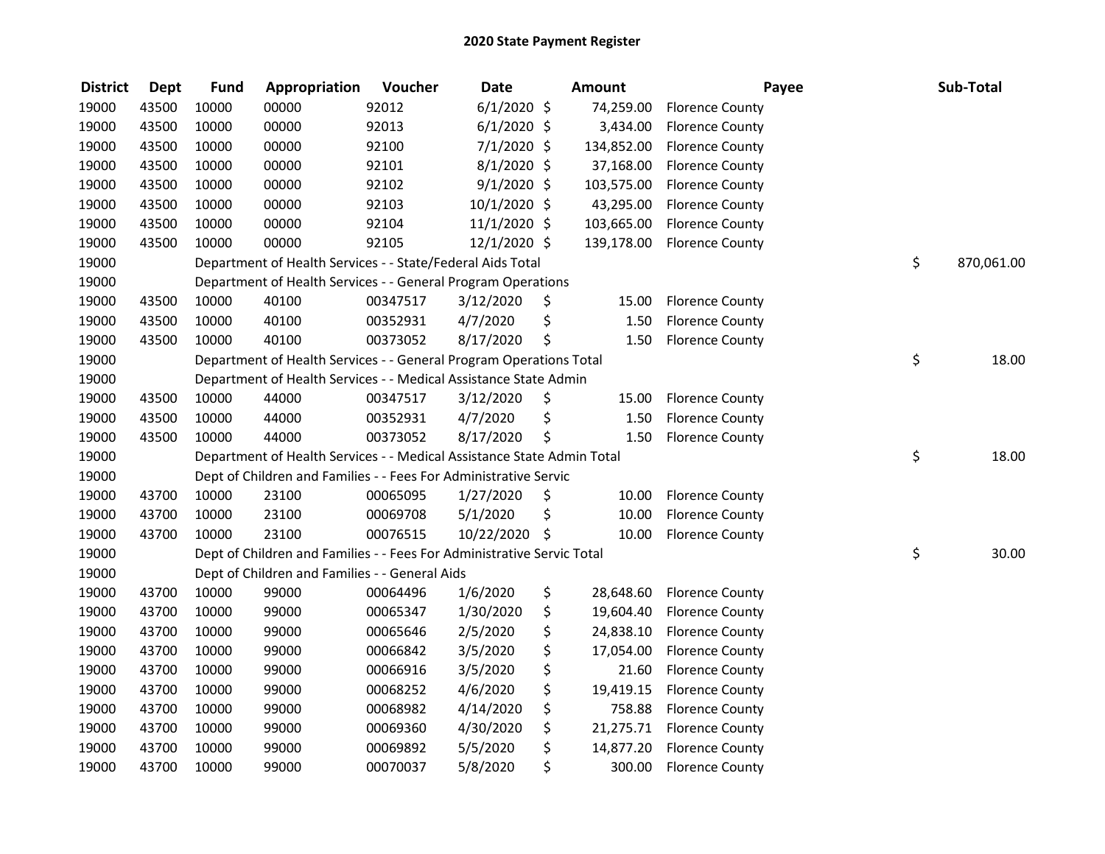| <b>District</b> | <b>Dept</b> | <b>Fund</b> | Appropriation                                                          | Voucher  | <b>Date</b>   | <b>Amount</b>   | Payee                  | Sub-Total        |
|-----------------|-------------|-------------|------------------------------------------------------------------------|----------|---------------|-----------------|------------------------|------------------|
| 19000           | 43500       | 10000       | 00000                                                                  | 92012    | $6/1/2020$ \$ | 74,259.00       | <b>Florence County</b> |                  |
| 19000           | 43500       | 10000       | 00000                                                                  | 92013    | $6/1/2020$ \$ | 3,434.00        | <b>Florence County</b> |                  |
| 19000           | 43500       | 10000       | 00000                                                                  | 92100    | 7/1/2020 \$   | 134,852.00      | <b>Florence County</b> |                  |
| 19000           | 43500       | 10000       | 00000                                                                  | 92101    | 8/1/2020 \$   | 37,168.00       | <b>Florence County</b> |                  |
| 19000           | 43500       | 10000       | 00000                                                                  | 92102    | $9/1/2020$ \$ | 103,575.00      | <b>Florence County</b> |                  |
| 19000           | 43500       | 10000       | 00000                                                                  | 92103    | 10/1/2020 \$  | 43,295.00       | <b>Florence County</b> |                  |
| 19000           | 43500       | 10000       | 00000                                                                  | 92104    | 11/1/2020 \$  | 103,665.00      | <b>Florence County</b> |                  |
| 19000           | 43500       | 10000       | 00000                                                                  | 92105    | 12/1/2020 \$  | 139,178.00      | <b>Florence County</b> |                  |
| 19000           |             |             | Department of Health Services - - State/Federal Aids Total             |          |               |                 |                        | \$<br>870,061.00 |
| 19000           |             |             | Department of Health Services - - General Program Operations           |          |               |                 |                        |                  |
| 19000           | 43500       | 10000       | 40100                                                                  | 00347517 | 3/12/2020     | \$<br>15.00     | <b>Florence County</b> |                  |
| 19000           | 43500       | 10000       | 40100                                                                  | 00352931 | 4/7/2020      | \$<br>1.50      | <b>Florence County</b> |                  |
| 19000           | 43500       | 10000       | 40100                                                                  | 00373052 | 8/17/2020     | \$<br>1.50      | <b>Florence County</b> |                  |
| 19000           |             |             | Department of Health Services - - General Program Operations Total     |          |               |                 |                        | \$<br>18.00      |
| 19000           |             |             | Department of Health Services - - Medical Assistance State Admin       |          |               |                 |                        |                  |
| 19000           | 43500       | 10000       | 44000                                                                  | 00347517 | 3/12/2020     | \$<br>15.00     | <b>Florence County</b> |                  |
| 19000           | 43500       | 10000       | 44000                                                                  | 00352931 | 4/7/2020      | \$<br>1.50      | <b>Florence County</b> |                  |
| 19000           | 43500       | 10000       | 44000                                                                  | 00373052 | 8/17/2020     | \$<br>1.50      | <b>Florence County</b> |                  |
| 19000           |             |             | Department of Health Services - - Medical Assistance State Admin Total |          |               |                 |                        | \$<br>18.00      |
| 19000           |             |             | Dept of Children and Families - - Fees For Administrative Servic       |          |               |                 |                        |                  |
| 19000           | 43700       | 10000       | 23100                                                                  | 00065095 | 1/27/2020     | \$<br>10.00     | <b>Florence County</b> |                  |
| 19000           | 43700       | 10000       | 23100                                                                  | 00069708 | 5/1/2020      | \$<br>10.00     | <b>Florence County</b> |                  |
| 19000           | 43700       | 10000       | 23100                                                                  | 00076515 | 10/22/2020    | \$<br>10.00     | <b>Florence County</b> |                  |
| 19000           |             |             | Dept of Children and Families - - Fees For Administrative Servic Total |          |               |                 |                        | \$<br>30.00      |
| 19000           |             |             | Dept of Children and Families - - General Aids                         |          |               |                 |                        |                  |
| 19000           | 43700       | 10000       | 99000                                                                  | 00064496 | 1/6/2020      | \$<br>28,648.60 | <b>Florence County</b> |                  |
| 19000           | 43700       | 10000       | 99000                                                                  | 00065347 | 1/30/2020     | \$<br>19,604.40 | <b>Florence County</b> |                  |
| 19000           | 43700       | 10000       | 99000                                                                  | 00065646 | 2/5/2020      | \$<br>24,838.10 | <b>Florence County</b> |                  |
| 19000           | 43700       | 10000       | 99000                                                                  | 00066842 | 3/5/2020      | \$<br>17,054.00 | <b>Florence County</b> |                  |
| 19000           | 43700       | 10000       | 99000                                                                  | 00066916 | 3/5/2020      | \$<br>21.60     | <b>Florence County</b> |                  |
| 19000           | 43700       | 10000       | 99000                                                                  | 00068252 | 4/6/2020      | \$<br>19,419.15 | <b>Florence County</b> |                  |
| 19000           | 43700       | 10000       | 99000                                                                  | 00068982 | 4/14/2020     | \$<br>758.88    | <b>Florence County</b> |                  |
| 19000           | 43700       | 10000       | 99000                                                                  | 00069360 | 4/30/2020     | \$<br>21,275.71 | <b>Florence County</b> |                  |
| 19000           | 43700       | 10000       | 99000                                                                  | 00069892 | 5/5/2020      | \$<br>14,877.20 | <b>Florence County</b> |                  |
| 19000           | 43700       | 10000       | 99000                                                                  | 00070037 | 5/8/2020      | \$<br>300.00    | <b>Florence County</b> |                  |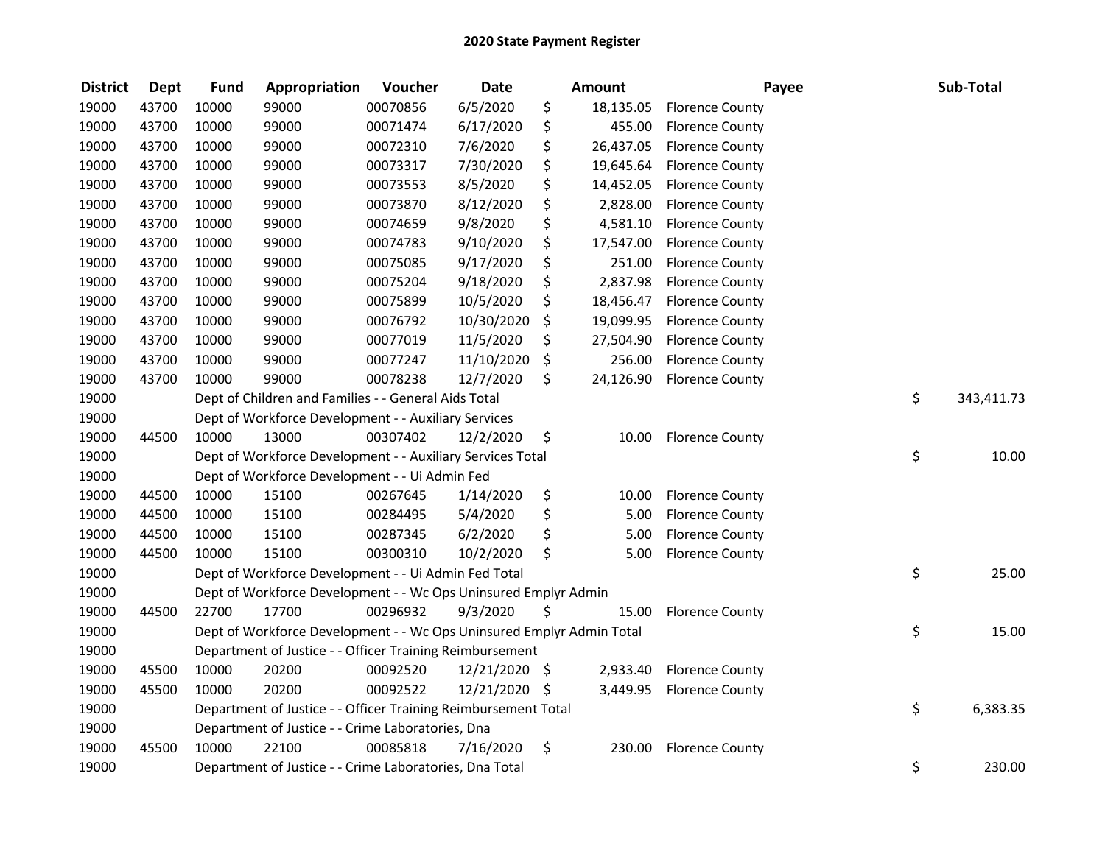| <b>District</b> | <b>Dept</b> | <b>Fund</b> | Appropriation                                                         | Voucher  | <b>Date</b>   |      | <b>Amount</b> | Payee                  | Sub-Total        |
|-----------------|-------------|-------------|-----------------------------------------------------------------------|----------|---------------|------|---------------|------------------------|------------------|
| 19000           | 43700       | 10000       | 99000                                                                 | 00070856 | 6/5/2020      | \$   | 18,135.05     | <b>Florence County</b> |                  |
| 19000           | 43700       | 10000       | 99000                                                                 | 00071474 | 6/17/2020     | \$   | 455.00        | <b>Florence County</b> |                  |
| 19000           | 43700       | 10000       | 99000                                                                 | 00072310 | 7/6/2020      | \$   | 26,437.05     | <b>Florence County</b> |                  |
| 19000           | 43700       | 10000       | 99000                                                                 | 00073317 | 7/30/2020     | \$   | 19,645.64     | <b>Florence County</b> |                  |
| 19000           | 43700       | 10000       | 99000                                                                 | 00073553 | 8/5/2020      | \$   | 14,452.05     | <b>Florence County</b> |                  |
| 19000           | 43700       | 10000       | 99000                                                                 | 00073870 | 8/12/2020     | \$   | 2,828.00      | <b>Florence County</b> |                  |
| 19000           | 43700       | 10000       | 99000                                                                 | 00074659 | 9/8/2020      | \$   | 4,581.10      | <b>Florence County</b> |                  |
| 19000           | 43700       | 10000       | 99000                                                                 | 00074783 | 9/10/2020     | \$   | 17,547.00     | <b>Florence County</b> |                  |
| 19000           | 43700       | 10000       | 99000                                                                 | 00075085 | 9/17/2020     | \$   | 251.00        | <b>Florence County</b> |                  |
| 19000           | 43700       | 10000       | 99000                                                                 | 00075204 | 9/18/2020     | \$   | 2,837.98      | <b>Florence County</b> |                  |
| 19000           | 43700       | 10000       | 99000                                                                 | 00075899 | 10/5/2020     | \$   | 18,456.47     | <b>Florence County</b> |                  |
| 19000           | 43700       | 10000       | 99000                                                                 | 00076792 | 10/30/2020    | \$   | 19,099.95     | <b>Florence County</b> |                  |
| 19000           | 43700       | 10000       | 99000                                                                 | 00077019 | 11/5/2020     | \$.  | 27,504.90     | <b>Florence County</b> |                  |
| 19000           | 43700       | 10000       | 99000                                                                 | 00077247 | 11/10/2020    | \$   | 256.00        | <b>Florence County</b> |                  |
| 19000           | 43700       | 10000       | 99000                                                                 | 00078238 | 12/7/2020     | \$   | 24,126.90     | <b>Florence County</b> |                  |
| 19000           |             |             | Dept of Children and Families - - General Aids Total                  |          |               |      |               |                        | \$<br>343,411.73 |
| 19000           |             |             | Dept of Workforce Development - - Auxiliary Services                  |          |               |      |               |                        |                  |
| 19000           | 44500       | 10000       | 13000                                                                 | 00307402 | 12/2/2020     | \$   | 10.00         | <b>Florence County</b> |                  |
| 19000           |             |             | Dept of Workforce Development - - Auxiliary Services Total            |          |               |      |               |                        | \$<br>10.00      |
| 19000           |             |             | Dept of Workforce Development - - Ui Admin Fed                        |          |               |      |               |                        |                  |
| 19000           | 44500       | 10000       | 15100                                                                 | 00267645 | 1/14/2020     | \$   | 10.00         | <b>Florence County</b> |                  |
| 19000           | 44500       | 10000       | 15100                                                                 | 00284495 | 5/4/2020      | \$   | 5.00          | <b>Florence County</b> |                  |
| 19000           | 44500       | 10000       | 15100                                                                 | 00287345 | 6/2/2020      | \$   | 5.00          | <b>Florence County</b> |                  |
| 19000           | 44500       | 10000       | 15100                                                                 | 00300310 | 10/2/2020     | \$   | 5.00          | <b>Florence County</b> |                  |
| 19000           |             |             | Dept of Workforce Development - - Ui Admin Fed Total                  |          |               |      |               |                        | \$<br>25.00      |
| 19000           |             |             | Dept of Workforce Development - - Wc Ops Uninsured Emplyr Admin       |          |               |      |               |                        |                  |
| 19000           | 44500       | 22700       | 17700                                                                 | 00296932 | 9/3/2020      | Ś    | 15.00         | <b>Florence County</b> |                  |
| 19000           |             |             | Dept of Workforce Development - - Wc Ops Uninsured Emplyr Admin Total |          |               |      |               |                        | \$<br>15.00      |
| 19000           |             |             | Department of Justice - - Officer Training Reimbursement              |          |               |      |               |                        |                  |
| 19000           | 45500       | 10000       | 20200                                                                 | 00092520 | 12/21/2020 \$ |      | 2,933.40      | <b>Florence County</b> |                  |
| 19000           | 45500       | 10000       | 20200                                                                 | 00092522 | 12/21/2020    | - \$ | 3,449.95      | <b>Florence County</b> |                  |
| 19000           |             |             | Department of Justice - - Officer Training Reimbursement Total        |          |               |      |               |                        | \$<br>6,383.35   |
| 19000           |             |             | Department of Justice - - Crime Laboratories, Dna                     |          |               |      |               |                        |                  |
| 19000           | 45500       | 10000       | 22100                                                                 | 00085818 | 7/16/2020     | \$   | 230.00        | <b>Florence County</b> |                  |
| 19000           |             |             | Department of Justice - - Crime Laboratories, Dna Total               |          |               |      |               |                        | \$<br>230.00     |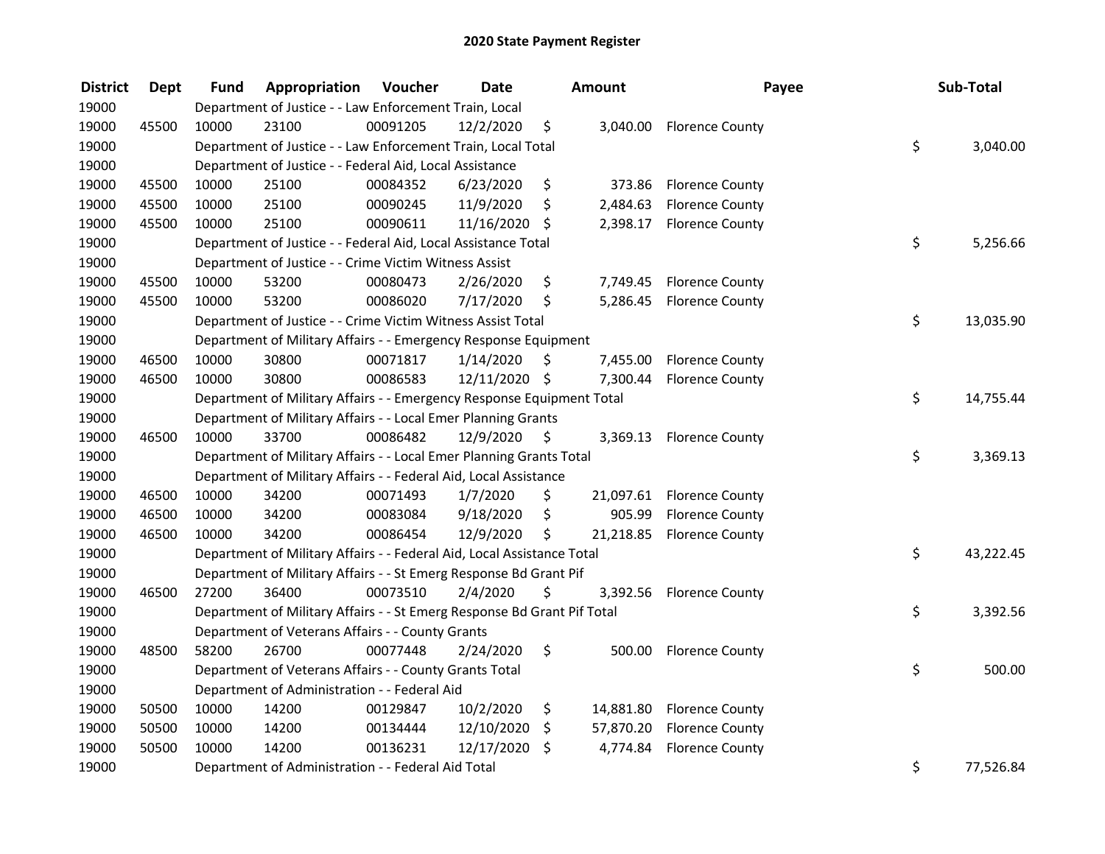| <b>District</b> | <b>Dept</b> | Fund  | Appropriation                                                           | Voucher  | <b>Date</b>   |    | Amount    | Payee                     | Sub-Total       |
|-----------------|-------------|-------|-------------------------------------------------------------------------|----------|---------------|----|-----------|---------------------------|-----------------|
| 19000           |             |       | Department of Justice - - Law Enforcement Train, Local                  |          |               |    |           |                           |                 |
| 19000           | 45500       | 10000 | 23100                                                                   | 00091205 | 12/2/2020     | \$ | 3,040.00  | <b>Florence County</b>    |                 |
| 19000           |             |       | Department of Justice - - Law Enforcement Train, Local Total            |          |               |    |           |                           | \$<br>3,040.00  |
| 19000           |             |       | Department of Justice - - Federal Aid, Local Assistance                 |          |               |    |           |                           |                 |
| 19000           | 45500       | 10000 | 25100                                                                   | 00084352 | 6/23/2020     | \$ | 373.86    | <b>Florence County</b>    |                 |
| 19000           | 45500       | 10000 | 25100                                                                   | 00090245 | 11/9/2020     | \$ | 2,484.63  | <b>Florence County</b>    |                 |
| 19000           | 45500       | 10000 | 25100                                                                   | 00090611 | 11/16/2020    | \$ |           | 2,398.17 Florence County  |                 |
| 19000           |             |       | Department of Justice - - Federal Aid, Local Assistance Total           |          |               |    |           |                           | \$<br>5,256.66  |
| 19000           |             |       | Department of Justice - - Crime Victim Witness Assist                   |          |               |    |           |                           |                 |
| 19000           | 45500       | 10000 | 53200                                                                   | 00080473 | 2/26/2020     | \$ |           | 7,749.45 Florence County  |                 |
| 19000           | 45500       | 10000 | 53200                                                                   | 00086020 | 7/17/2020     | \$ |           | 5,286.45 Florence County  |                 |
| 19000           |             |       | Department of Justice - - Crime Victim Witness Assist Total             |          |               |    |           |                           | \$<br>13,035.90 |
| 19000           |             |       | Department of Military Affairs - - Emergency Response Equipment         |          |               |    |           |                           |                 |
| 19000           | 46500       | 10000 | 30800                                                                   | 00071817 | 1/14/2020     | S  | 7,455.00  | <b>Florence County</b>    |                 |
| 19000           | 46500       | 10000 | 30800                                                                   | 00086583 | 12/11/2020 \$ |    | 7,300.44  | <b>Florence County</b>    |                 |
| 19000           |             |       | Department of Military Affairs - - Emergency Response Equipment Total   |          |               |    |           |                           | \$<br>14,755.44 |
| 19000           |             |       | Department of Military Affairs - - Local Emer Planning Grants           |          |               |    |           |                           |                 |
| 19000           | 46500       | 10000 | 33700                                                                   | 00086482 | 12/9/2020     | \$ | 3,369.13  | <b>Florence County</b>    |                 |
| 19000           |             |       | Department of Military Affairs - - Local Emer Planning Grants Total     |          |               |    |           |                           | \$<br>3,369.13  |
| 19000           |             |       | Department of Military Affairs - - Federal Aid, Local Assistance        |          |               |    |           |                           |                 |
| 19000           | 46500       | 10000 | 34200                                                                   | 00071493 | 1/7/2020      | \$ |           | 21,097.61 Florence County |                 |
| 19000           | 46500       | 10000 | 34200                                                                   | 00083084 | 9/18/2020     | \$ | 905.99    | <b>Florence County</b>    |                 |
| 19000           | 46500       | 10000 | 34200                                                                   | 00086454 | 12/9/2020     | \$ |           | 21,218.85 Florence County |                 |
| 19000           |             |       | Department of Military Affairs - - Federal Aid, Local Assistance Total  |          |               |    |           |                           | \$<br>43,222.45 |
| 19000           |             |       | Department of Military Affairs - - St Emerg Response Bd Grant Pif       |          |               |    |           |                           |                 |
| 19000           | 46500       | 27200 | 36400                                                                   | 00073510 | 2/4/2020      | \$ |           | 3,392.56 Florence County  |                 |
| 19000           |             |       | Department of Military Affairs - - St Emerg Response Bd Grant Pif Total |          |               |    |           |                           | \$<br>3,392.56  |
| 19000           |             |       | Department of Veterans Affairs - - County Grants                        |          |               |    |           |                           |                 |
| 19000           | 48500       | 58200 | 26700                                                                   | 00077448 | 2/24/2020     | \$ | 500.00    | <b>Florence County</b>    |                 |
| 19000           |             |       | Department of Veterans Affairs - - County Grants Total                  |          |               |    |           |                           | \$<br>500.00    |
| 19000           |             |       | Department of Administration - - Federal Aid                            |          |               |    |           |                           |                 |
| 19000           | 50500       | 10000 | 14200                                                                   | 00129847 | 10/2/2020     | \$ | 14,881.80 | <b>Florence County</b>    |                 |
| 19000           | 50500       | 10000 | 14200                                                                   | 00134444 | 12/10/2020    | \$ | 57,870.20 | <b>Florence County</b>    |                 |
| 19000           | 50500       | 10000 | 14200                                                                   | 00136231 | 12/17/2020    | \$ | 4,774.84  | <b>Florence County</b>    |                 |
| 19000           |             |       | Department of Administration - - Federal Aid Total                      |          |               |    |           |                           | \$<br>77,526.84 |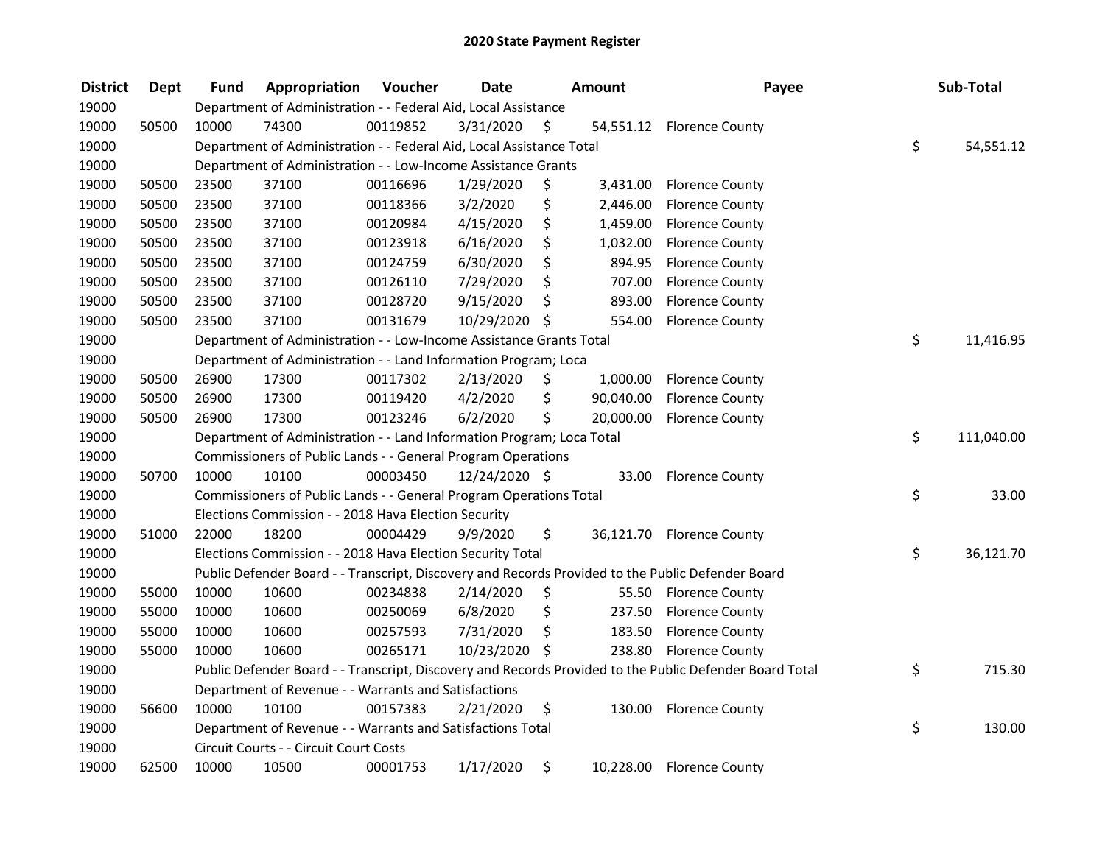| <b>District</b> | <b>Dept</b> | Fund  | Appropriation                                                         | Voucher  | <b>Date</b>   |     | <b>Amount</b> | Payee                                                                                                   | Sub-Total        |
|-----------------|-------------|-------|-----------------------------------------------------------------------|----------|---------------|-----|---------------|---------------------------------------------------------------------------------------------------------|------------------|
| 19000           |             |       | Department of Administration - - Federal Aid, Local Assistance        |          |               |     |               |                                                                                                         |                  |
| 19000           | 50500       | 10000 | 74300                                                                 | 00119852 | 3/31/2020     | \$  |               | 54,551.12 Florence County                                                                               |                  |
| 19000           |             |       | Department of Administration - - Federal Aid, Local Assistance Total  |          |               |     |               |                                                                                                         | \$<br>54,551.12  |
| 19000           |             |       | Department of Administration - - Low-Income Assistance Grants         |          |               |     |               |                                                                                                         |                  |
| 19000           | 50500       | 23500 | 37100                                                                 | 00116696 | 1/29/2020     | \$  | 3,431.00      | <b>Florence County</b>                                                                                  |                  |
| 19000           | 50500       | 23500 | 37100                                                                 | 00118366 | 3/2/2020      | \$  | 2,446.00      | <b>Florence County</b>                                                                                  |                  |
| 19000           | 50500       | 23500 | 37100                                                                 | 00120984 | 4/15/2020     | \$  | 1,459.00      | <b>Florence County</b>                                                                                  |                  |
| 19000           | 50500       | 23500 | 37100                                                                 | 00123918 | 6/16/2020     | \$  | 1,032.00      | <b>Florence County</b>                                                                                  |                  |
| 19000           | 50500       | 23500 | 37100                                                                 | 00124759 | 6/30/2020     | \$  | 894.95        | <b>Florence County</b>                                                                                  |                  |
| 19000           | 50500       | 23500 | 37100                                                                 | 00126110 | 7/29/2020     | \$  | 707.00        | <b>Florence County</b>                                                                                  |                  |
| 19000           | 50500       | 23500 | 37100                                                                 | 00128720 | 9/15/2020     | \$  | 893.00        | <b>Florence County</b>                                                                                  |                  |
| 19000           | 50500       | 23500 | 37100                                                                 | 00131679 | 10/29/2020    | \$  | 554.00        | <b>Florence County</b>                                                                                  |                  |
| 19000           |             |       | Department of Administration - - Low-Income Assistance Grants Total   |          |               |     |               |                                                                                                         | \$<br>11,416.95  |
| 19000           |             |       | Department of Administration - - Land Information Program; Loca       |          |               |     |               |                                                                                                         |                  |
| 19000           | 50500       | 26900 | 17300                                                                 | 00117302 | 2/13/2020     | \$  | 1,000.00      | <b>Florence County</b>                                                                                  |                  |
| 19000           | 50500       | 26900 | 17300                                                                 | 00119420 | 4/2/2020      | \$  | 90,040.00     | <b>Florence County</b>                                                                                  |                  |
| 19000           | 50500       | 26900 | 17300                                                                 | 00123246 | 6/2/2020      | \$  | 20,000.00     | <b>Florence County</b>                                                                                  |                  |
| 19000           |             |       | Department of Administration - - Land Information Program; Loca Total |          |               |     |               |                                                                                                         | \$<br>111,040.00 |
| 19000           |             |       | Commissioners of Public Lands - - General Program Operations          |          |               |     |               |                                                                                                         |                  |
| 19000           | 50700       | 10000 | 10100                                                                 | 00003450 | 12/24/2020 \$ |     | 33.00         | <b>Florence County</b>                                                                                  |                  |
| 19000           |             |       | Commissioners of Public Lands - - General Program Operations Total    |          |               |     |               |                                                                                                         | \$<br>33.00      |
| 19000           |             |       | Elections Commission - - 2018 Hava Election Security                  |          |               |     |               |                                                                                                         |                  |
| 19000           | 51000       | 22000 | 18200                                                                 | 00004429 | 9/9/2020      | \$. |               | 36,121.70 Florence County                                                                               |                  |
| 19000           |             |       | Elections Commission - - 2018 Hava Election Security Total            |          |               |     |               |                                                                                                         | \$<br>36,121.70  |
| 19000           |             |       |                                                                       |          |               |     |               | Public Defender Board - - Transcript, Discovery and Records Provided to the Public Defender Board       |                  |
| 19000           | 55000       | 10000 | 10600                                                                 | 00234838 | 2/14/2020     | \$  |               | 55.50 Florence County                                                                                   |                  |
| 19000           | 55000       | 10000 | 10600                                                                 | 00250069 | 6/8/2020      | \$  | 237.50        | <b>Florence County</b>                                                                                  |                  |
| 19000           | 55000       | 10000 | 10600                                                                 | 00257593 | 7/31/2020     | \$  | 183.50        | <b>Florence County</b>                                                                                  |                  |
| 19000           | 55000       | 10000 | 10600                                                                 | 00265171 | 10/23/2020 \$ |     | 238.80        | <b>Florence County</b>                                                                                  |                  |
| 19000           |             |       |                                                                       |          |               |     |               | Public Defender Board - - Transcript, Discovery and Records Provided to the Public Defender Board Total | \$<br>715.30     |
| 19000           |             |       | Department of Revenue - - Warrants and Satisfactions                  |          |               |     |               |                                                                                                         |                  |
| 19000           | 56600       | 10000 | 10100                                                                 | 00157383 | 2/21/2020     | \$  | 130.00        | <b>Florence County</b>                                                                                  |                  |
| 19000           |             |       | Department of Revenue - - Warrants and Satisfactions Total            |          |               |     |               |                                                                                                         | \$<br>130.00     |
| 19000           |             |       | Circuit Courts - - Circuit Court Costs                                |          |               |     |               |                                                                                                         |                  |
| 19000           | 62500       | 10000 | 10500                                                                 | 00001753 | 1/17/2020     | \$  | 10,228.00     | <b>Florence County</b>                                                                                  |                  |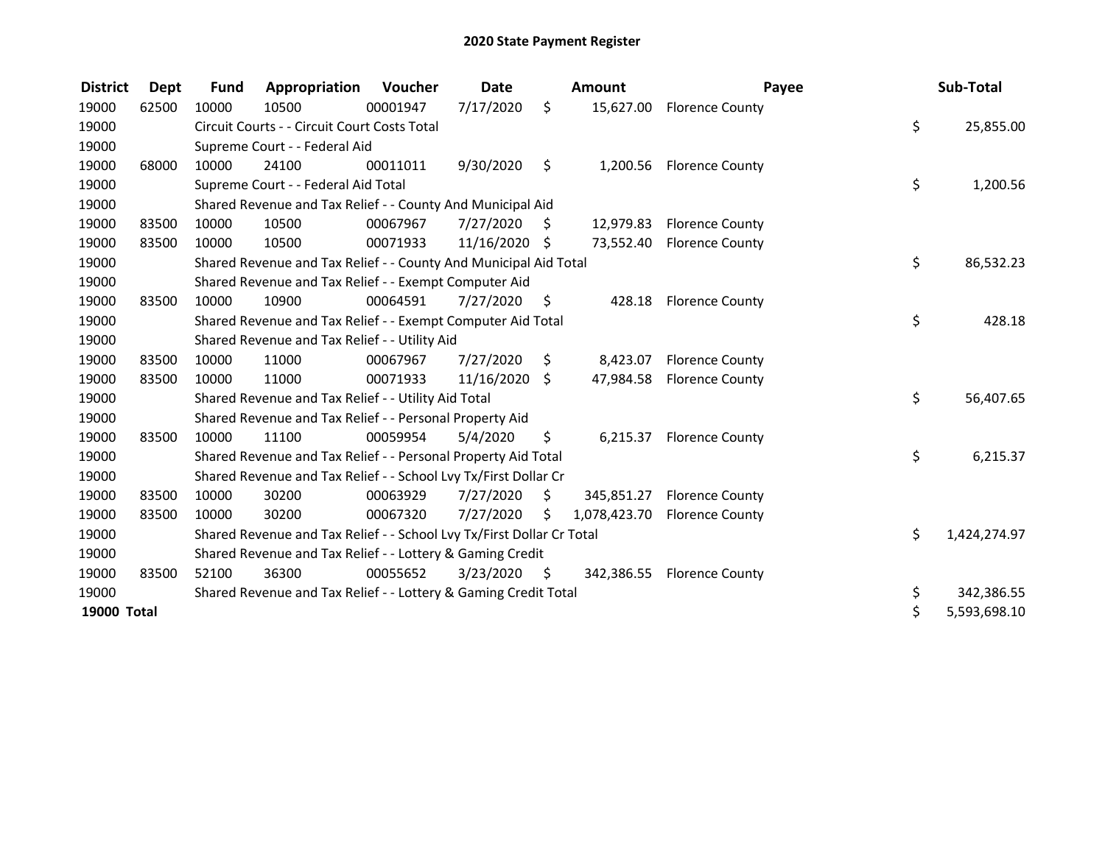| <b>District</b>    | Dept  | <b>Fund</b> | Appropriation                                                         | <b>Voucher</b> | <b>Date</b>   |      | <b>Amount</b> | Payee                     | Sub-Total          |
|--------------------|-------|-------------|-----------------------------------------------------------------------|----------------|---------------|------|---------------|---------------------------|--------------------|
| 19000              | 62500 | 10000       | 10500                                                                 | 00001947       | 7/17/2020     | \$   | 15,627.00     | <b>Florence County</b>    |                    |
| 19000              |       |             | Circuit Courts - - Circuit Court Costs Total                          |                |               |      |               |                           | \$<br>25,855.00    |
| 19000              |       |             | Supreme Court - - Federal Aid                                         |                |               |      |               |                           |                    |
| 19000              | 68000 | 10000       | 24100                                                                 | 00011011       | 9/30/2020     | \$   | 1,200.56      | <b>Florence County</b>    |                    |
| 19000              |       |             | Supreme Court - - Federal Aid Total                                   |                |               |      |               |                           | \$<br>1,200.56     |
| 19000              |       |             | Shared Revenue and Tax Relief - - County And Municipal Aid            |                |               |      |               |                           |                    |
| 19000              | 83500 | 10000       | 10500                                                                 | 00067967       | 7/27/2020     | S.   | 12,979.83     | <b>Florence County</b>    |                    |
| 19000              | 83500 | 10000       | 10500                                                                 | 00071933       | 11/16/2020 \$ |      |               | 73,552.40 Florence County |                    |
| 19000              |       |             | Shared Revenue and Tax Relief - - County And Municipal Aid Total      |                |               |      |               |                           | \$<br>86,532.23    |
| 19000              |       |             | Shared Revenue and Tax Relief - - Exempt Computer Aid                 |                |               |      |               |                           |                    |
| 19000              | 83500 | 10000       | 10900                                                                 | 00064591       | 7/27/2020     | - \$ |               | 428.18 Florence County    |                    |
| 19000              |       |             | Shared Revenue and Tax Relief - - Exempt Computer Aid Total           |                |               |      |               |                           | \$<br>428.18       |
| 19000              |       |             | Shared Revenue and Tax Relief - - Utility Aid                         |                |               |      |               |                           |                    |
| 19000              | 83500 | 10000       | 11000                                                                 | 00067967       | 7/27/2020     | S.   | 8,423.07      | <b>Florence County</b>    |                    |
| 19000              | 83500 | 10000       | 11000                                                                 | 00071933       | 11/16/2020    | \$   |               | 47,984.58 Florence County |                    |
| 19000              |       |             | Shared Revenue and Tax Relief - - Utility Aid Total                   |                |               |      |               |                           | \$<br>56,407.65    |
| 19000              |       |             | Shared Revenue and Tax Relief - - Personal Property Aid               |                |               |      |               |                           |                    |
| 19000              | 83500 | 10000       | 11100                                                                 | 00059954       | 5/4/2020      | \$   | 6,215.37      | <b>Florence County</b>    |                    |
| 19000              |       |             | Shared Revenue and Tax Relief - - Personal Property Aid Total         |                |               |      |               |                           | \$<br>6,215.37     |
| 19000              |       |             | Shared Revenue and Tax Relief - - School Lvy Tx/First Dollar Cr       |                |               |      |               |                           |                    |
| 19000              | 83500 | 10000       | 30200                                                                 | 00063929       | 7/27/2020     | \$   | 345,851.27    | <b>Florence County</b>    |                    |
| 19000              | 83500 | 10000       | 30200                                                                 | 00067320       | 7/27/2020     | Ś.   | 1,078,423.70  | <b>Florence County</b>    |                    |
| 19000              |       |             | Shared Revenue and Tax Relief - - School Lvy Tx/First Dollar Cr Total |                |               |      |               |                           | \$<br>1,424,274.97 |
| 19000              |       |             | Shared Revenue and Tax Relief - - Lottery & Gaming Credit             |                |               |      |               |                           |                    |
| 19000              | 83500 | 52100       | 36300                                                                 | 00055652       | 3/23/2020     | S.   | 342,386.55    | <b>Florence County</b>    |                    |
| 19000              |       |             | Shared Revenue and Tax Relief - - Lottery & Gaming Credit Total       |                |               |      |               |                           | \$<br>342,386.55   |
| <b>19000 Total</b> |       |             |                                                                       |                |               |      |               |                           | \$<br>5,593,698.10 |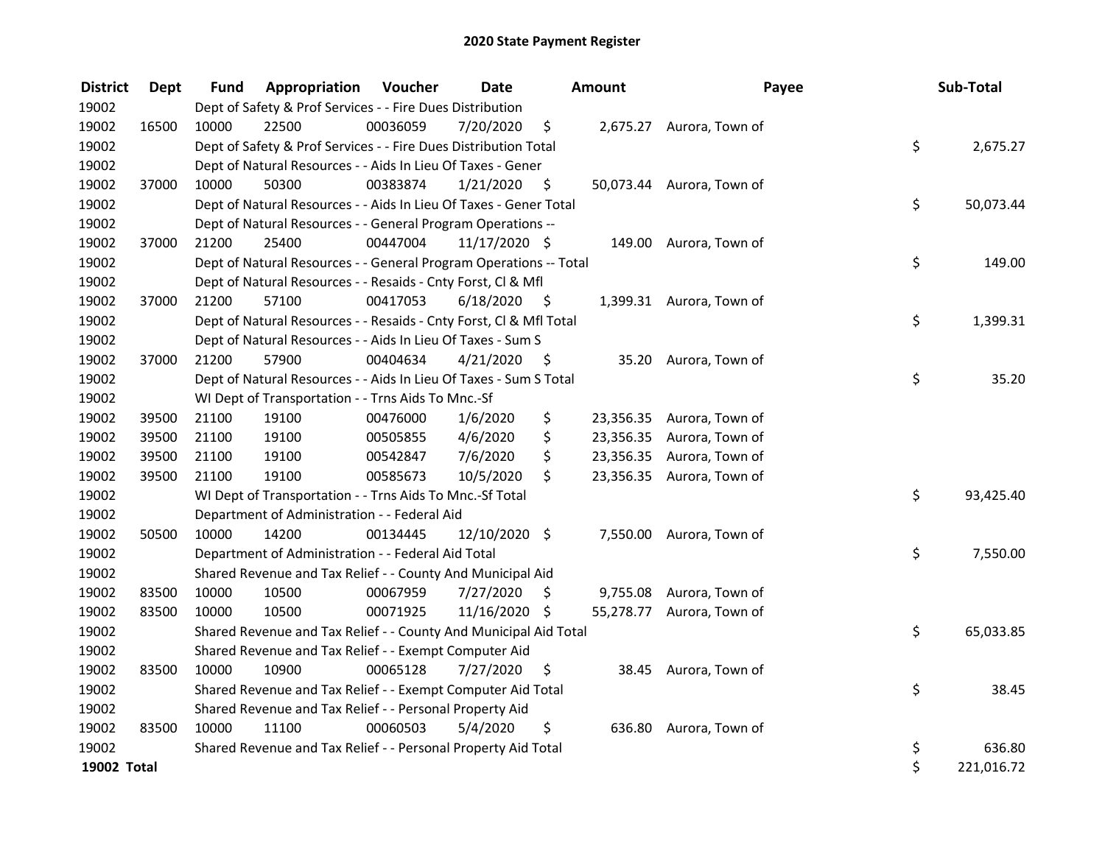| <b>District</b> | <b>Dept</b> | Fund  | Appropriation                                                      | Voucher  | <b>Date</b>     |      | <b>Amount</b> | Payee                     | Sub-Total        |
|-----------------|-------------|-------|--------------------------------------------------------------------|----------|-----------------|------|---------------|---------------------------|------------------|
| 19002           |             |       | Dept of Safety & Prof Services - - Fire Dues Distribution          |          |                 |      |               |                           |                  |
| 19002           | 16500       | 10000 | 22500                                                              | 00036059 | 7/20/2020       | \$   |               | 2,675.27 Aurora, Town of  |                  |
| 19002           |             |       | Dept of Safety & Prof Services - - Fire Dues Distribution Total    |          |                 |      |               |                           | \$<br>2,675.27   |
| 19002           |             |       | Dept of Natural Resources - - Aids In Lieu Of Taxes - Gener        |          |                 |      |               |                           |                  |
| 19002           | 37000       | 10000 | 50300                                                              | 00383874 | 1/21/2020       | \$   |               | 50,073.44 Aurora, Town of |                  |
| 19002           |             |       | Dept of Natural Resources - - Aids In Lieu Of Taxes - Gener Total  |          |                 |      |               |                           | \$<br>50,073.44  |
| 19002           |             |       | Dept of Natural Resources - - General Program Operations --        |          |                 |      |               |                           |                  |
| 19002           | 37000       | 21200 | 25400                                                              | 00447004 | $11/17/2020$ \$ |      |               | 149.00 Aurora, Town of    |                  |
| 19002           |             |       | Dept of Natural Resources - - General Program Operations -- Total  |          |                 |      |               |                           | \$<br>149.00     |
| 19002           |             |       | Dept of Natural Resources - - Resaids - Cnty Forst, Cl & Mfl       |          |                 |      |               |                           |                  |
| 19002           | 37000       | 21200 | 57100                                                              | 00417053 | 6/18/2020       | - \$ |               | 1,399.31 Aurora, Town of  |                  |
| 19002           |             |       | Dept of Natural Resources - - Resaids - Cnty Forst, Cl & Mfl Total |          |                 |      |               |                           | \$<br>1,399.31   |
| 19002           |             |       | Dept of Natural Resources - - Aids In Lieu Of Taxes - Sum S        |          |                 |      |               |                           |                  |
| 19002           | 37000       | 21200 | 57900                                                              | 00404634 | 4/21/2020       | \$.  |               | 35.20 Aurora, Town of     |                  |
| 19002           |             |       | Dept of Natural Resources - - Aids In Lieu Of Taxes - Sum S Total  |          |                 |      |               |                           | \$<br>35.20      |
| 19002           |             |       | WI Dept of Transportation - - Trns Aids To Mnc.-Sf                 |          |                 |      |               |                           |                  |
| 19002           | 39500       | 21100 | 19100                                                              | 00476000 | 1/6/2020        | \$   | 23,356.35     | Aurora, Town of           |                  |
| 19002           | 39500       | 21100 | 19100                                                              | 00505855 | 4/6/2020        | \$   | 23,356.35     | Aurora, Town of           |                  |
| 19002           | 39500       | 21100 | 19100                                                              | 00542847 | 7/6/2020        | \$   |               | 23,356.35 Aurora, Town of |                  |
| 19002           | 39500       | 21100 | 19100                                                              | 00585673 | 10/5/2020       | \$   |               | 23,356.35 Aurora, Town of |                  |
| 19002           |             |       | WI Dept of Transportation - - Trns Aids To Mnc.-Sf Total           |          |                 |      |               |                           | \$<br>93,425.40  |
| 19002           |             |       | Department of Administration - - Federal Aid                       |          |                 |      |               |                           |                  |
| 19002           | 50500       | 10000 | 14200                                                              | 00134445 | $12/10/2020$ \$ |      |               | 7,550.00 Aurora, Town of  |                  |
| 19002           |             |       | Department of Administration - - Federal Aid Total                 |          |                 |      |               |                           | \$<br>7,550.00   |
| 19002           |             |       | Shared Revenue and Tax Relief - - County And Municipal Aid         |          |                 |      |               |                           |                  |
| 19002           | 83500       | 10000 | 10500                                                              | 00067959 | 7/27/2020       | \$   |               | 9,755.08 Aurora, Town of  |                  |
| 19002           | 83500       | 10000 | 10500                                                              | 00071925 | 11/16/2020 \$   |      |               | 55,278.77 Aurora, Town of |                  |
| 19002           |             |       | Shared Revenue and Tax Relief - - County And Municipal Aid Total   |          |                 |      |               |                           | \$<br>65,033.85  |
| 19002           |             |       | Shared Revenue and Tax Relief - - Exempt Computer Aid              |          |                 |      |               |                           |                  |
| 19002           | 83500       | 10000 | 10900                                                              | 00065128 | 7/27/2020       | \$   |               | 38.45 Aurora, Town of     |                  |
| 19002           |             |       | Shared Revenue and Tax Relief - - Exempt Computer Aid Total        |          |                 |      |               |                           | \$<br>38.45      |
| 19002           |             |       | Shared Revenue and Tax Relief - - Personal Property Aid            |          |                 |      |               |                           |                  |
| 19002           | 83500       | 10000 | 11100                                                              | 00060503 | 5/4/2020        | \$   |               | 636.80 Aurora, Town of    |                  |
| 19002           |             |       | Shared Revenue and Tax Relief - - Personal Property Aid Total      |          |                 |      |               |                           | \$<br>636.80     |
| 19002 Total     |             |       |                                                                    |          |                 |      |               |                           | \$<br>221,016.72 |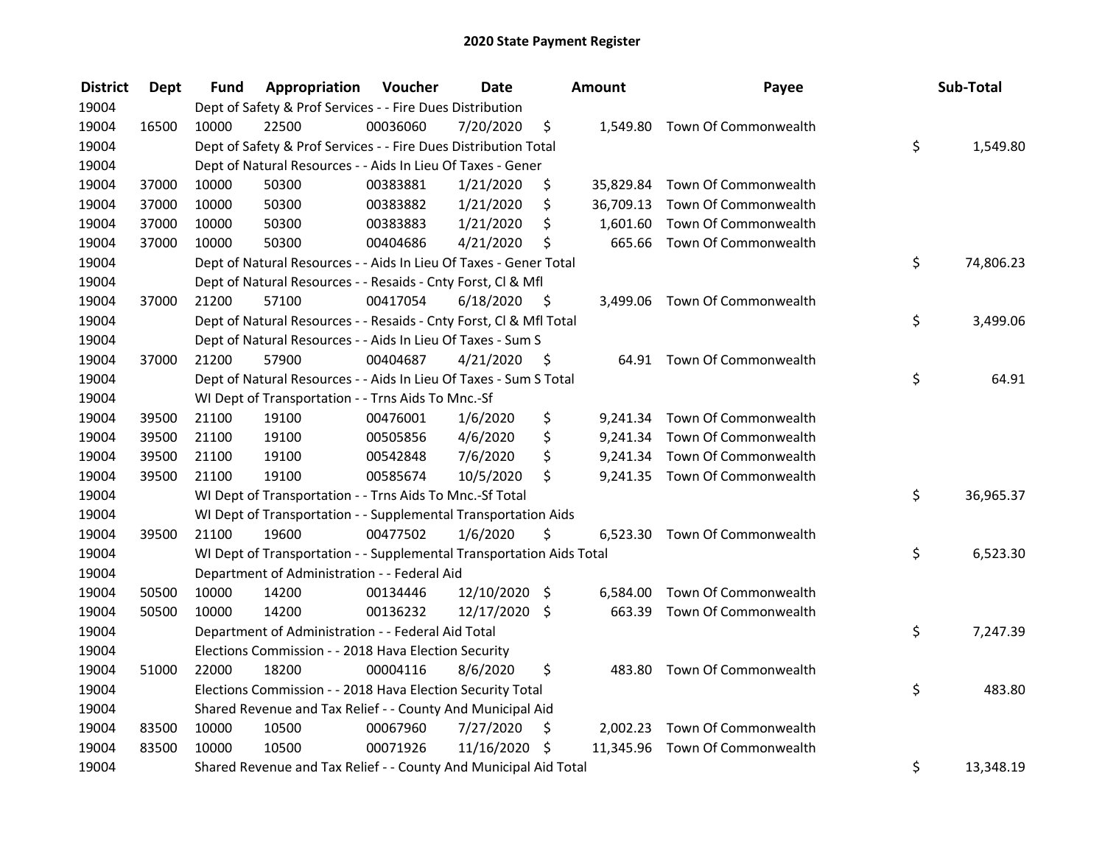| <b>District</b> | Dept  | Fund  | Appropriation                                                        | Voucher  | <b>Date</b>   |      | Amount    | Payee                          | Sub-Total       |
|-----------------|-------|-------|----------------------------------------------------------------------|----------|---------------|------|-----------|--------------------------------|-----------------|
| 19004           |       |       | Dept of Safety & Prof Services - - Fire Dues Distribution            |          |               |      |           |                                |                 |
| 19004           | 16500 | 10000 | 22500                                                                | 00036060 | 7/20/2020     | \$   |           | 1,549.80 Town Of Commonwealth  |                 |
| 19004           |       |       | Dept of Safety & Prof Services - - Fire Dues Distribution Total      |          |               |      |           |                                | \$<br>1,549.80  |
| 19004           |       |       | Dept of Natural Resources - - Aids In Lieu Of Taxes - Gener          |          |               |      |           |                                |                 |
| 19004           | 37000 | 10000 | 50300                                                                | 00383881 | 1/21/2020     | \$   | 35,829.84 | Town Of Commonwealth           |                 |
| 19004           | 37000 | 10000 | 50300                                                                | 00383882 | 1/21/2020     | \$   | 36,709.13 | Town Of Commonwealth           |                 |
| 19004           | 37000 | 10000 | 50300                                                                | 00383883 | 1/21/2020     | \$   | 1,601.60  | Town Of Commonwealth           |                 |
| 19004           | 37000 | 10000 | 50300                                                                | 00404686 | 4/21/2020     | \$   |           | 665.66 Town Of Commonwealth    |                 |
| 19004           |       |       | Dept of Natural Resources - - Aids In Lieu Of Taxes - Gener Total    |          |               |      |           |                                | \$<br>74,806.23 |
| 19004           |       |       | Dept of Natural Resources - - Resaids - Cnty Forst, Cl & Mfl         |          |               |      |           |                                |                 |
| 19004           | 37000 | 21200 | 57100                                                                | 00417054 | 6/18/2020     | - \$ |           | 3,499.06 Town Of Commonwealth  |                 |
| 19004           |       |       | Dept of Natural Resources - - Resaids - Cnty Forst, Cl & Mfl Total   |          |               |      |           |                                | \$<br>3,499.06  |
| 19004           |       |       | Dept of Natural Resources - - Aids In Lieu Of Taxes - Sum S          |          |               |      |           |                                |                 |
| 19004           | 37000 | 21200 | 57900                                                                | 00404687 | 4/21/2020     | \$   |           | 64.91 Town Of Commonwealth     |                 |
| 19004           |       |       | Dept of Natural Resources - - Aids In Lieu Of Taxes - Sum S Total    |          |               |      |           |                                | \$<br>64.91     |
| 19004           |       |       | WI Dept of Transportation - - Trns Aids To Mnc.-Sf                   |          |               |      |           |                                |                 |
| 19004           | 39500 | 21100 | 19100                                                                | 00476001 | 1/6/2020      | \$   |           | 9,241.34 Town Of Commonwealth  |                 |
| 19004           | 39500 | 21100 | 19100                                                                | 00505856 | 4/6/2020      | \$   |           | 9,241.34 Town Of Commonwealth  |                 |
| 19004           | 39500 | 21100 | 19100                                                                | 00542848 | 7/6/2020      | \$   |           | 9,241.34 Town Of Commonwealth  |                 |
| 19004           | 39500 | 21100 | 19100                                                                | 00585674 | 10/5/2020     | \$   |           | 9,241.35 Town Of Commonwealth  |                 |
| 19004           |       |       | WI Dept of Transportation - - Trns Aids To Mnc.-Sf Total             |          |               |      |           |                                | \$<br>36,965.37 |
| 19004           |       |       | WI Dept of Transportation - - Supplemental Transportation Aids       |          |               |      |           |                                |                 |
| 19004           | 39500 | 21100 | 19600                                                                | 00477502 | 1/6/2020      | \$   |           | 6,523.30 Town Of Commonwealth  |                 |
| 19004           |       |       | WI Dept of Transportation - - Supplemental Transportation Aids Total |          |               |      |           |                                | \$<br>6,523.30  |
| 19004           |       |       | Department of Administration - - Federal Aid                         |          |               |      |           |                                |                 |
| 19004           | 50500 | 10000 | 14200                                                                | 00134446 | 12/10/2020    | \$   | 6,584.00  | Town Of Commonwealth           |                 |
| 19004           | 50500 | 10000 | 14200                                                                | 00136232 | 12/17/2020 \$ |      |           | 663.39 Town Of Commonwealth    |                 |
| 19004           |       |       | Department of Administration - - Federal Aid Total                   |          |               |      |           |                                | \$<br>7,247.39  |
| 19004           |       |       | Elections Commission - - 2018 Hava Election Security                 |          |               |      |           |                                |                 |
| 19004           | 51000 | 22000 | 18200                                                                | 00004116 | 8/6/2020      | \$   | 483.80    | Town Of Commonwealth           |                 |
| 19004           |       |       | Elections Commission - - 2018 Hava Election Security Total           |          |               |      |           |                                | \$<br>483.80    |
| 19004           |       |       | Shared Revenue and Tax Relief - - County And Municipal Aid           |          |               |      |           |                                |                 |
| 19004           | 83500 | 10000 | 10500                                                                | 00067960 | 7/27/2020     | \$   |           | 2,002.23 Town Of Commonwealth  |                 |
| 19004           | 83500 | 10000 | 10500                                                                | 00071926 | 11/16/2020 \$ |      |           | 11,345.96 Town Of Commonwealth |                 |
| 19004           |       |       | Shared Revenue and Tax Relief - - County And Municipal Aid Total     |          |               |      |           |                                | \$<br>13,348.19 |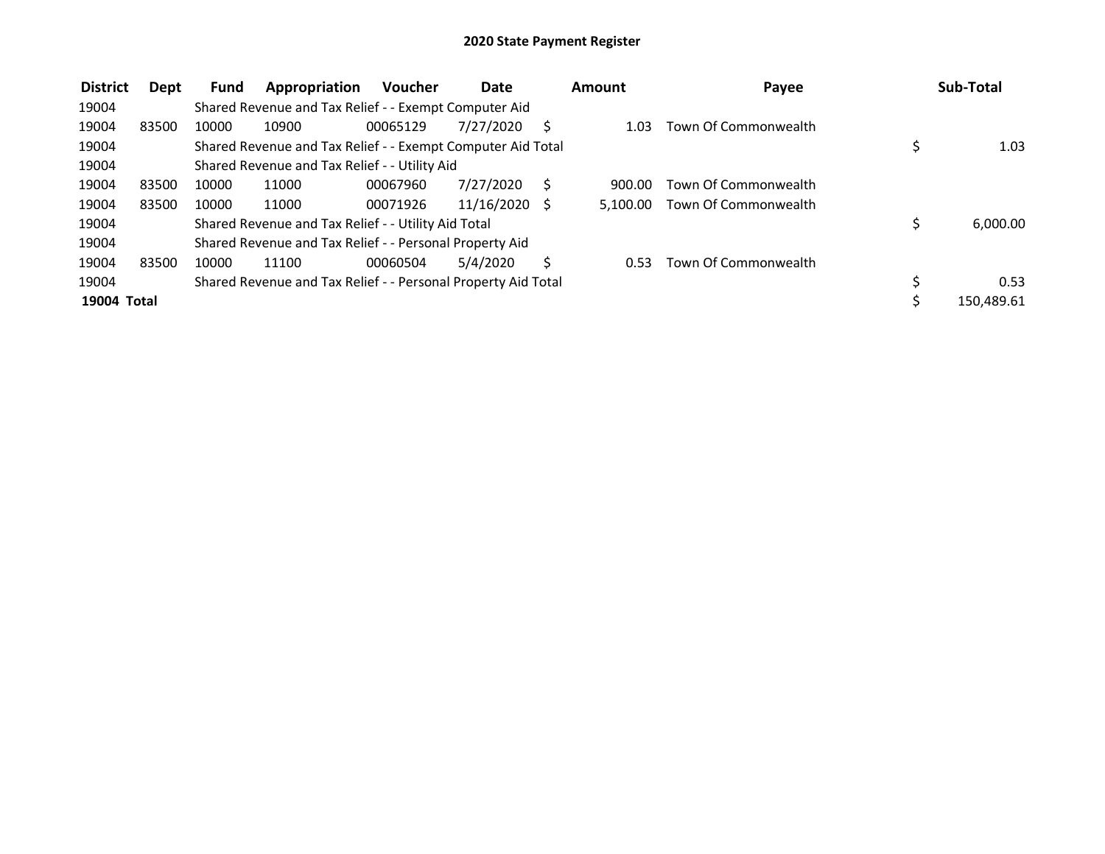| <b>District</b> | Dept  | Fund  | Appropriation                                                 | <b>Voucher</b> | Date            |   | Amount | Payee                         |    | Sub-Total  |
|-----------------|-------|-------|---------------------------------------------------------------|----------------|-----------------|---|--------|-------------------------------|----|------------|
| 19004           |       |       | Shared Revenue and Tax Relief - - Exempt Computer Aid         |                |                 |   |        |                               |    |            |
| 19004           | 83500 | 10000 | 10900                                                         | 00065129       | 7/27/2020       |   | 1.03   | Town Of Commonwealth          |    |            |
| 19004           |       |       | Shared Revenue and Tax Relief - - Exempt Computer Aid Total   |                |                 |   |        |                               |    | 1.03       |
| 19004           |       |       | Shared Revenue and Tax Relief - - Utility Aid                 |                |                 |   |        |                               |    |            |
| 19004           | 83500 | 10000 | 11000                                                         | 00067960       | 7/27/2020       | S | 900.00 | Town Of Commonwealth          |    |            |
| 19004           | 83500 | 10000 | 11000                                                         | 00071926       | $11/16/2020$ \$ |   |        | 5.100.00 Town Of Commonwealth |    |            |
| 19004           |       |       | Shared Revenue and Tax Relief - - Utility Aid Total           |                |                 |   |        |                               |    | 6,000.00   |
| 19004           |       |       | Shared Revenue and Tax Relief - - Personal Property Aid       |                |                 |   |        |                               |    |            |
| 19004           | 83500 | 10000 | 11100                                                         | 00060504       | 5/4/2020        |   | 0.53   | Town Of Commonwealth          |    |            |
| 19004           |       |       | Shared Revenue and Tax Relief - - Personal Property Aid Total |                |                 |   |        |                               | Ś. | 0.53       |
| 19004 Total     |       |       |                                                               |                |                 |   |        |                               |    | 150.489.61 |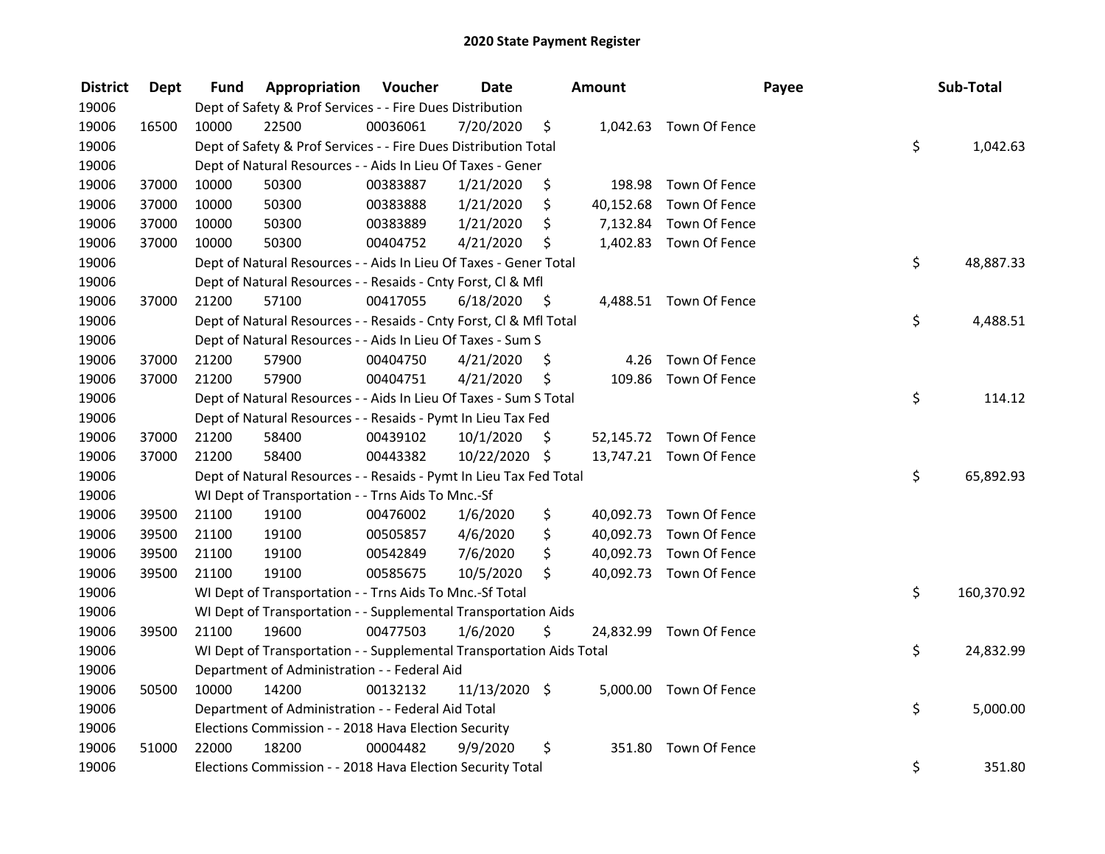| <b>District</b> | Dept  | Fund  | Appropriation                                                        | Voucher  | <b>Date</b>   |      | Amount    |                         | Payee | Sub-Total        |
|-----------------|-------|-------|----------------------------------------------------------------------|----------|---------------|------|-----------|-------------------------|-------|------------------|
| 19006           |       |       | Dept of Safety & Prof Services - - Fire Dues Distribution            |          |               |      |           |                         |       |                  |
| 19006           | 16500 | 10000 | 22500                                                                | 00036061 | 7/20/2020     | \$   |           | 1,042.63 Town Of Fence  |       |                  |
| 19006           |       |       | Dept of Safety & Prof Services - - Fire Dues Distribution Total      |          |               |      |           |                         |       | \$<br>1,042.63   |
| 19006           |       |       | Dept of Natural Resources - - Aids In Lieu Of Taxes - Gener          |          |               |      |           |                         |       |                  |
| 19006           | 37000 | 10000 | 50300                                                                | 00383887 | 1/21/2020     | \$   | 198.98    | Town Of Fence           |       |                  |
| 19006           | 37000 | 10000 | 50300                                                                | 00383888 | 1/21/2020     | \$   | 40,152.68 | Town Of Fence           |       |                  |
| 19006           | 37000 | 10000 | 50300                                                                | 00383889 | 1/21/2020     | \$   |           | 7,132.84 Town Of Fence  |       |                  |
| 19006           | 37000 | 10000 | 50300                                                                | 00404752 | 4/21/2020     | \$   |           | 1,402.83 Town Of Fence  |       |                  |
| 19006           |       |       | Dept of Natural Resources - - Aids In Lieu Of Taxes - Gener Total    |          |               |      |           |                         |       | \$<br>48,887.33  |
| 19006           |       |       | Dept of Natural Resources - - Resaids - Cnty Forst, Cl & Mfl         |          |               |      |           |                         |       |                  |
| 19006           | 37000 | 21200 | 57100                                                                | 00417055 | 6/18/2020     | - \$ |           | 4,488.51 Town Of Fence  |       |                  |
| 19006           |       |       | Dept of Natural Resources - - Resaids - Cnty Forst, Cl & Mfl Total   |          |               |      |           |                         |       | \$<br>4,488.51   |
| 19006           |       |       | Dept of Natural Resources - - Aids In Lieu Of Taxes - Sum S          |          |               |      |           |                         |       |                  |
| 19006           | 37000 | 21200 | 57900                                                                | 00404750 | 4/21/2020     | \$,  | 4.26      | Town Of Fence           |       |                  |
| 19006           | 37000 | 21200 | 57900                                                                | 00404751 | 4/21/2020     | \$   | 109.86    | Town Of Fence           |       |                  |
| 19006           |       |       | Dept of Natural Resources - - Aids In Lieu Of Taxes - Sum S Total    |          |               |      |           |                         |       | \$<br>114.12     |
| 19006           |       |       | Dept of Natural Resources - - Resaids - Pymt In Lieu Tax Fed         |          |               |      |           |                         |       |                  |
| 19006           | 37000 | 21200 | 58400                                                                | 00439102 | 10/1/2020     | \$   |           | 52,145.72 Town Of Fence |       |                  |
| 19006           | 37000 | 21200 | 58400                                                                | 00443382 | 10/22/2020 \$ |      |           | 13,747.21 Town Of Fence |       |                  |
| 19006           |       |       | Dept of Natural Resources - - Resaids - Pymt In Lieu Tax Fed Total   |          |               |      |           |                         |       | \$<br>65,892.93  |
| 19006           |       |       | WI Dept of Transportation - - Trns Aids To Mnc.-Sf                   |          |               |      |           |                         |       |                  |
| 19006           | 39500 | 21100 | 19100                                                                | 00476002 | 1/6/2020      | \$   |           | 40,092.73 Town Of Fence |       |                  |
| 19006           | 39500 | 21100 | 19100                                                                | 00505857 | 4/6/2020      | \$   | 40,092.73 | Town Of Fence           |       |                  |
| 19006           | 39500 | 21100 | 19100                                                                | 00542849 | 7/6/2020      | \$   | 40,092.73 | Town Of Fence           |       |                  |
| 19006           | 39500 | 21100 | 19100                                                                | 00585675 | 10/5/2020     | \$   |           | 40,092.73 Town Of Fence |       |                  |
| 19006           |       |       | WI Dept of Transportation - - Trns Aids To Mnc.-Sf Total             |          |               |      |           |                         |       | \$<br>160,370.92 |
| 19006           |       |       | WI Dept of Transportation - - Supplemental Transportation Aids       |          |               |      |           |                         |       |                  |
| 19006           | 39500 | 21100 | 19600                                                                | 00477503 | 1/6/2020      | \$   |           | 24,832.99 Town Of Fence |       |                  |
| 19006           |       |       | WI Dept of Transportation - - Supplemental Transportation Aids Total |          |               |      |           |                         |       | \$<br>24,832.99  |
| 19006           |       |       | Department of Administration - - Federal Aid                         |          |               |      |           |                         |       |                  |
| 19006           | 50500 | 10000 | 14200                                                                | 00132132 | 11/13/2020 \$ |      |           | 5,000.00 Town Of Fence  |       |                  |
| 19006           |       |       | Department of Administration - - Federal Aid Total                   |          |               |      |           |                         |       | \$<br>5,000.00   |
| 19006           |       |       | Elections Commission - - 2018 Hava Election Security                 |          |               |      |           |                         |       |                  |
| 19006           | 51000 | 22000 | 18200                                                                | 00004482 | 9/9/2020      | \$   | 351.80    | Town Of Fence           |       |                  |
| 19006           |       |       | Elections Commission - - 2018 Hava Election Security Total           |          |               |      |           |                         |       | \$<br>351.80     |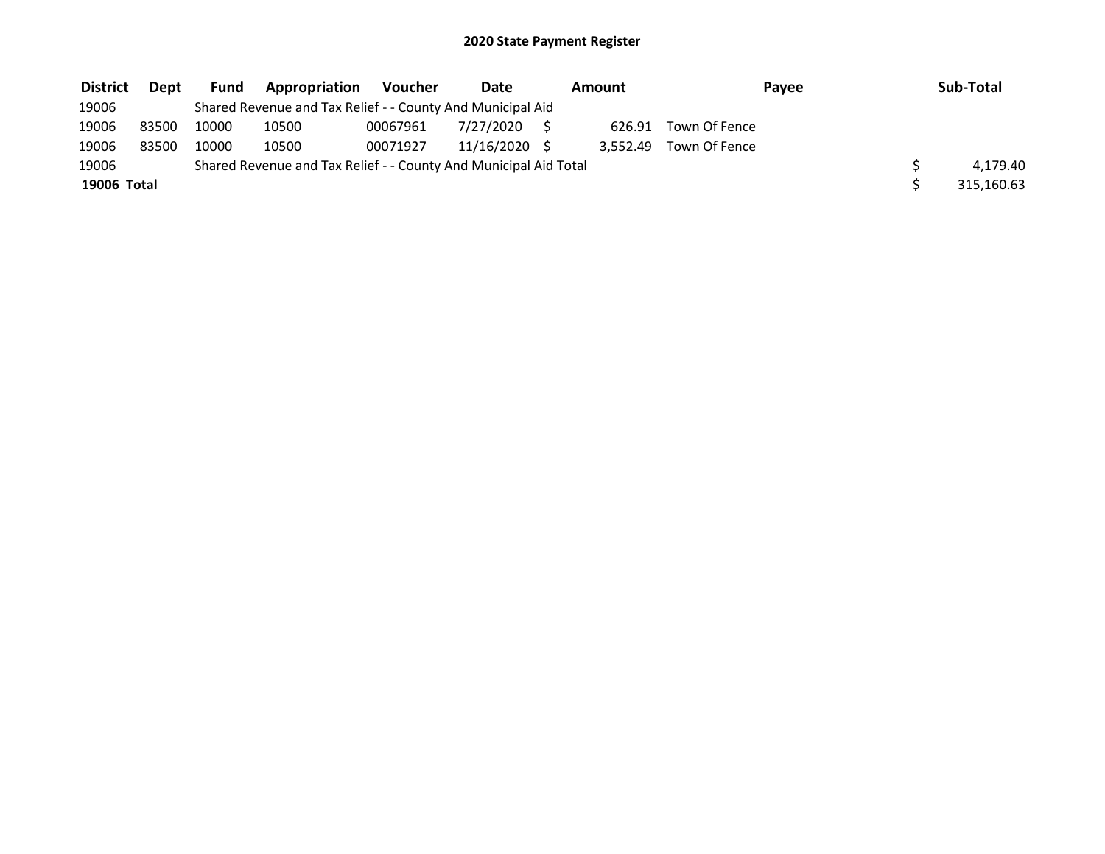| <b>District</b> | Dept  | <b>Fund</b> | <b>Appropriation</b>                                             | Voucher  | Date       | Amount   | Payee         | Sub-Total  |
|-----------------|-------|-------------|------------------------------------------------------------------|----------|------------|----------|---------------|------------|
| 19006           |       |             | Shared Revenue and Tax Relief - - County And Municipal Aid       |          |            |          |               |            |
| 19006           | 83500 | 10000       | 10500                                                            | 00067961 | 7/27/2020  | 626.91   | Town Of Fence |            |
| 19006           | 83500 | 10000       | 10500                                                            | 00071927 | 11/16/2020 | 3.552.49 | Town Of Fence |            |
| 19006           |       |             | Shared Revenue and Tax Relief - - County And Municipal Aid Total |          |            |          |               | 4.179.40   |
| 19006 Total     |       |             |                                                                  |          |            |          |               | 315,160.63 |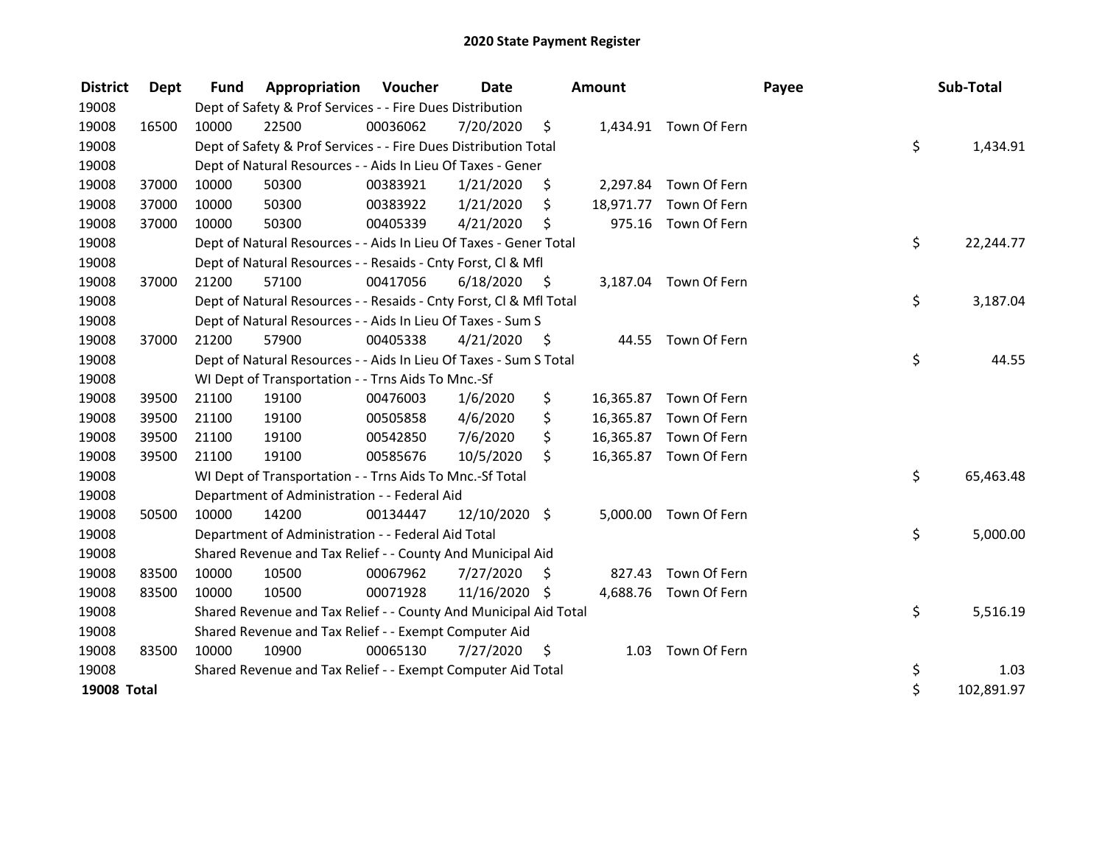| <b>District</b> | Dept  | <b>Fund</b> | Appropriation                                                      | Voucher  | <b>Date</b>   |      | <b>Amount</b> |                        | Payee | Sub-Total        |
|-----------------|-------|-------------|--------------------------------------------------------------------|----------|---------------|------|---------------|------------------------|-------|------------------|
| 19008           |       |             | Dept of Safety & Prof Services - - Fire Dues Distribution          |          |               |      |               |                        |       |                  |
| 19008           | 16500 | 10000       | 22500                                                              | 00036062 | 7/20/2020     | \$   |               | 1,434.91 Town Of Fern  |       |                  |
| 19008           |       |             | Dept of Safety & Prof Services - - Fire Dues Distribution Total    |          |               |      |               |                        |       | \$<br>1,434.91   |
| 19008           |       |             | Dept of Natural Resources - - Aids In Lieu Of Taxes - Gener        |          |               |      |               |                        |       |                  |
| 19008           | 37000 | 10000       | 50300                                                              | 00383921 | 1/21/2020     | \$   |               | 2,297.84 Town Of Fern  |       |                  |
| 19008           | 37000 | 10000       | 50300                                                              | 00383922 | 1/21/2020     | \$   |               | 18,971.77 Town Of Fern |       |                  |
| 19008           | 37000 | 10000       | 50300                                                              | 00405339 | 4/21/2020     | \$   |               | 975.16 Town Of Fern    |       |                  |
| 19008           |       |             | Dept of Natural Resources - - Aids In Lieu Of Taxes - Gener Total  |          |               |      |               |                        |       | \$<br>22,244.77  |
| 19008           |       |             | Dept of Natural Resources - - Resaids - Cnty Forst, CI & Mfl       |          |               |      |               |                        |       |                  |
| 19008           | 37000 | 21200       | 57100                                                              | 00417056 | 6/18/2020     | - \$ |               | 3,187.04 Town Of Fern  |       |                  |
| 19008           |       |             | Dept of Natural Resources - - Resaids - Cnty Forst, CI & Mfl Total |          |               |      |               |                        |       | \$<br>3,187.04   |
| 19008           |       |             | Dept of Natural Resources - - Aids In Lieu Of Taxes - Sum S        |          |               |      |               |                        |       |                  |
| 19008           | 37000 | 21200       | 57900                                                              | 00405338 | 4/21/2020     | - \$ |               | 44.55 Town Of Fern     |       |                  |
| 19008           |       |             | Dept of Natural Resources - - Aids In Lieu Of Taxes - Sum S Total  |          |               |      |               |                        |       | \$<br>44.55      |
| 19008           |       |             | WI Dept of Transportation - - Trns Aids To Mnc.-Sf                 |          |               |      |               |                        |       |                  |
| 19008           | 39500 | 21100       | 19100                                                              | 00476003 | 1/6/2020      | \$   |               | 16,365.87 Town Of Fern |       |                  |
| 19008           | 39500 | 21100       | 19100                                                              | 00505858 | 4/6/2020      | \$   |               | 16,365.87 Town Of Fern |       |                  |
| 19008           | 39500 | 21100       | 19100                                                              | 00542850 | 7/6/2020      | \$   |               | 16,365.87 Town Of Fern |       |                  |
| 19008           | 39500 | 21100       | 19100                                                              | 00585676 | 10/5/2020     | \$   |               | 16,365.87 Town Of Fern |       |                  |
| 19008           |       |             | WI Dept of Transportation - - Trns Aids To Mnc.-Sf Total           |          |               |      |               |                        |       | \$<br>65,463.48  |
| 19008           |       |             | Department of Administration - - Federal Aid                       |          |               |      |               |                        |       |                  |
| 19008           | 50500 | 10000       | 14200                                                              | 00134447 | 12/10/2020 \$ |      | 5,000.00      | Town Of Fern           |       |                  |
| 19008           |       |             | Department of Administration - - Federal Aid Total                 |          |               |      |               |                        |       | \$<br>5,000.00   |
| 19008           |       |             | Shared Revenue and Tax Relief - - County And Municipal Aid         |          |               |      |               |                        |       |                  |
| 19008           | 83500 | 10000       | 10500                                                              | 00067962 | 7/27/2020     | S    | 827.43        | Town Of Fern           |       |                  |
| 19008           | 83500 | 10000       | 10500                                                              | 00071928 | 11/16/2020 \$ |      |               | 4,688.76 Town Of Fern  |       |                  |
| 19008           |       |             | Shared Revenue and Tax Relief - - County And Municipal Aid Total   |          |               |      |               |                        |       | \$<br>5,516.19   |
| 19008           |       |             | Shared Revenue and Tax Relief - - Exempt Computer Aid              |          |               |      |               |                        |       |                  |
| 19008           | 83500 | 10000       | 10900                                                              | 00065130 | 7/27/2020     | - \$ |               | 1.03 Town Of Fern      |       |                  |
| 19008           |       |             | Shared Revenue and Tax Relief - - Exempt Computer Aid Total        |          |               |      |               |                        |       | \$<br>1.03       |
| 19008 Total     |       |             |                                                                    |          |               |      |               |                        |       | \$<br>102,891.97 |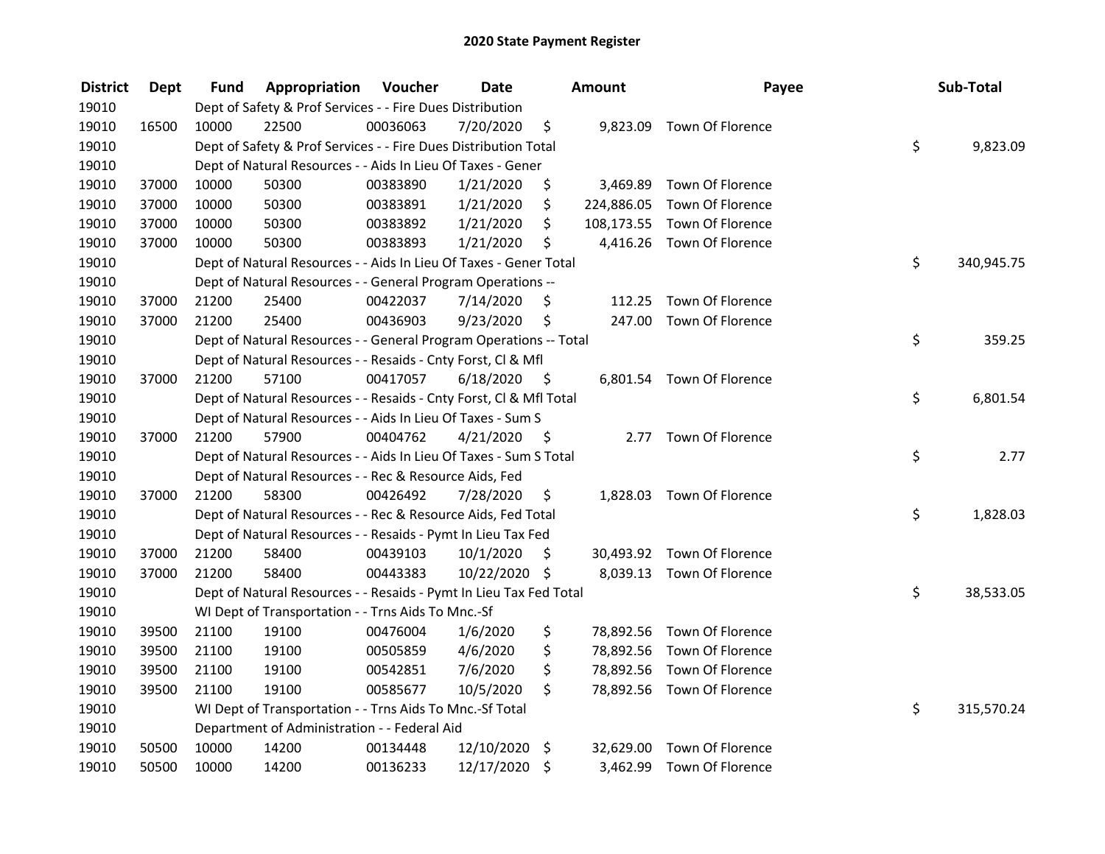| <b>District</b> | <b>Dept</b> | Fund  | Appropriation                                                      | Voucher  | <b>Date</b>   |         | Amount     | Payee                       | Sub-Total        |
|-----------------|-------------|-------|--------------------------------------------------------------------|----------|---------------|---------|------------|-----------------------------|------------------|
| 19010           |             |       | Dept of Safety & Prof Services - - Fire Dues Distribution          |          |               |         |            |                             |                  |
| 19010           | 16500       | 10000 | 22500                                                              | 00036063 | 7/20/2020     | \$      |            | 9,823.09 Town Of Florence   |                  |
| 19010           |             |       | Dept of Safety & Prof Services - - Fire Dues Distribution Total    |          |               |         |            |                             | \$<br>9,823.09   |
| 19010           |             |       | Dept of Natural Resources - - Aids In Lieu Of Taxes - Gener        |          |               |         |            |                             |                  |
| 19010           | 37000       | 10000 | 50300                                                              | 00383890 | 1/21/2020     | \$      | 3,469.89   | Town Of Florence            |                  |
| 19010           | 37000       | 10000 | 50300                                                              | 00383891 | 1/21/2020     | \$      | 224,886.05 | Town Of Florence            |                  |
| 19010           | 37000       | 10000 | 50300                                                              | 00383892 | 1/21/2020     | \$      |            | 108,173.55 Town Of Florence |                  |
| 19010           | 37000       | 10000 | 50300                                                              | 00383893 | 1/21/2020     | \$      |            | 4,416.26 Town Of Florence   |                  |
| 19010           |             |       | Dept of Natural Resources - - Aids In Lieu Of Taxes - Gener Total  |          |               |         |            |                             | \$<br>340,945.75 |
| 19010           |             |       | Dept of Natural Resources - - General Program Operations --        |          |               |         |            |                             |                  |
| 19010           | 37000       | 21200 | 25400                                                              | 00422037 | 7/14/2020     | S       | 112.25     | Town Of Florence            |                  |
| 19010           | 37000       | 21200 | 25400                                                              | 00436903 | 9/23/2020     | \$      |            | 247.00 Town Of Florence     |                  |
| 19010           |             |       | Dept of Natural Resources - - General Program Operations -- Total  |          |               |         |            |                             | \$<br>359.25     |
| 19010           |             |       | Dept of Natural Resources - - Resaids - Cnty Forst, Cl & Mfl       |          |               |         |            |                             |                  |
| 19010           | 37000       | 21200 | 57100                                                              | 00417057 | 6/18/2020     | - \$    |            | 6,801.54 Town Of Florence   |                  |
| 19010           |             |       | Dept of Natural Resources - - Resaids - Cnty Forst, Cl & Mfl Total |          |               |         |            |                             | \$<br>6,801.54   |
| 19010           |             |       | Dept of Natural Resources - - Aids In Lieu Of Taxes - Sum S        |          |               |         |            |                             |                  |
| 19010           | 37000       | 21200 | 57900                                                              | 00404762 | 4/21/2020     | - \$    | 2.77       | Town Of Florence            |                  |
| 19010           |             |       | Dept of Natural Resources - - Aids In Lieu Of Taxes - Sum S Total  |          |               |         |            |                             | \$<br>2.77       |
| 19010           |             |       | Dept of Natural Resources - - Rec & Resource Aids, Fed             |          |               |         |            |                             |                  |
| 19010           | 37000       | 21200 | 58300                                                              | 00426492 | 7/28/2020     | \$      |            | 1,828.03 Town Of Florence   |                  |
| 19010           |             |       | Dept of Natural Resources - - Rec & Resource Aids, Fed Total       |          |               |         |            |                             | \$<br>1,828.03   |
| 19010           |             |       | Dept of Natural Resources - - Resaids - Pymt In Lieu Tax Fed       |          |               |         |            |                             |                  |
| 19010           | 37000       | 21200 | 58400                                                              | 00439103 | 10/1/2020     | -S      |            | 30,493.92 Town Of Florence  |                  |
| 19010           | 37000       | 21200 | 58400                                                              | 00443383 | 10/22/2020 \$ |         |            | 8,039.13 Town Of Florence   |                  |
| 19010           |             |       | Dept of Natural Resources - - Resaids - Pymt In Lieu Tax Fed Total |          |               |         |            |                             | \$<br>38,533.05  |
| 19010           |             |       | WI Dept of Transportation - - Trns Aids To Mnc.-Sf                 |          |               |         |            |                             |                  |
| 19010           | 39500       | 21100 | 19100                                                              | 00476004 | 1/6/2020      | \$      |            | 78,892.56 Town Of Florence  |                  |
| 19010           | 39500       | 21100 | 19100                                                              | 00505859 | 4/6/2020      | \$      |            | 78,892.56 Town Of Florence  |                  |
| 19010           | 39500       | 21100 | 19100                                                              | 00542851 | 7/6/2020      | \$      |            | 78,892.56 Town Of Florence  |                  |
| 19010           | 39500       | 21100 | 19100                                                              | 00585677 | 10/5/2020     | \$      |            | 78,892.56 Town Of Florence  |                  |
| 19010           |             |       | WI Dept of Transportation - - Trns Aids To Mnc.-Sf Total           |          |               |         |            |                             | \$<br>315,570.24 |
| 19010           |             |       | Department of Administration - - Federal Aid                       |          |               |         |            |                             |                  |
| 19010           | 50500       | 10000 | 14200                                                              | 00134448 | 12/10/2020    | $\zeta$ |            | 32,629.00 Town Of Florence  |                  |
| 19010           | 50500       | 10000 | 14200                                                              | 00136233 | 12/17/2020    | \$      | 3,462.99   | Town Of Florence            |                  |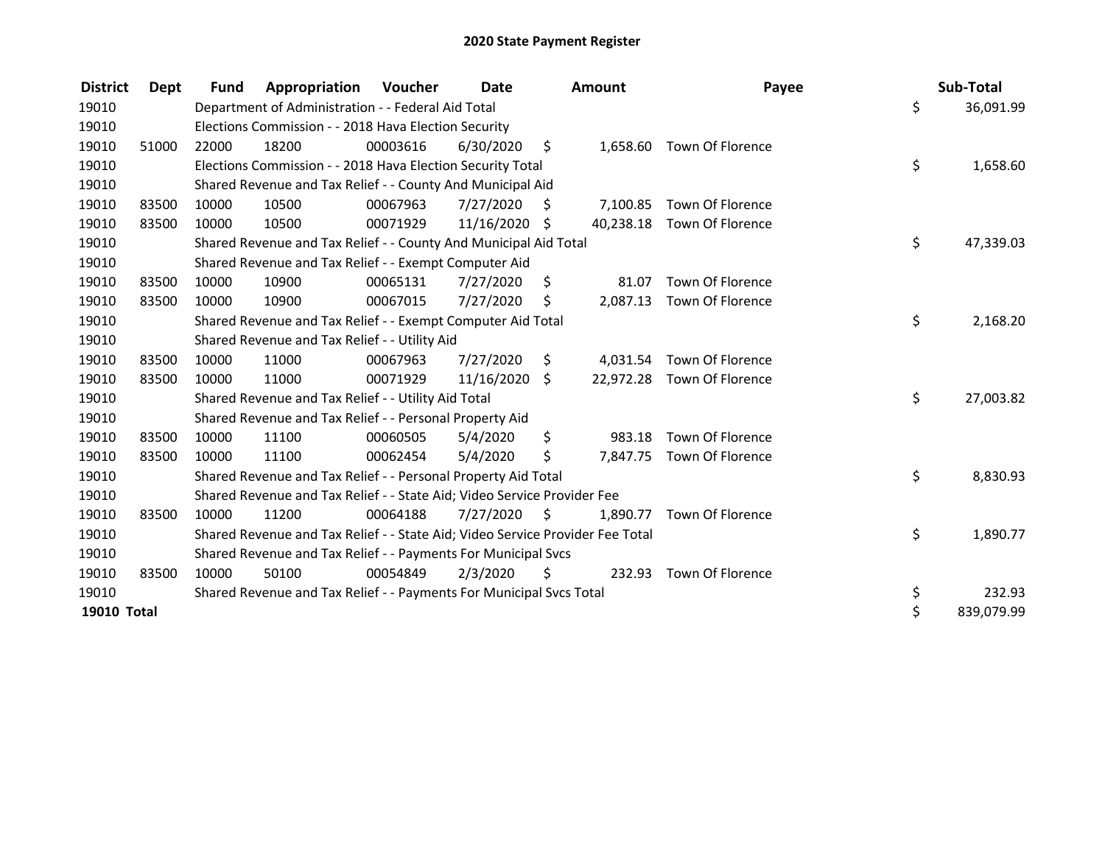| <b>District</b>    | <b>Dept</b> | <b>Fund</b> | Appropriation                                                                 | Voucher  | Date       |     | <b>Amount</b> | Payee                      | Sub-Total        |
|--------------------|-------------|-------------|-------------------------------------------------------------------------------|----------|------------|-----|---------------|----------------------------|------------------|
| 19010              |             |             | Department of Administration - - Federal Aid Total                            |          |            |     |               |                            | \$<br>36,091.99  |
| 19010              |             |             | Elections Commission - - 2018 Hava Election Security                          |          |            |     |               |                            |                  |
| 19010              | 51000       | 22000       | 18200                                                                         | 00003616 | 6/30/2020  | \$  |               | 1,658.60 Town Of Florence  |                  |
| 19010              |             |             | Elections Commission - - 2018 Hava Election Security Total                    |          |            |     |               |                            | \$<br>1,658.60   |
| 19010              |             |             | Shared Revenue and Tax Relief - - County And Municipal Aid                    |          |            |     |               |                            |                  |
| 19010              | 83500       | 10000       | 10500                                                                         | 00067963 | 7/27/2020  | S   | 7,100.85      | Town Of Florence           |                  |
| 19010              | 83500       | 10000       | 10500                                                                         | 00071929 | 11/16/2020 | -\$ | 40,238.18     | Town Of Florence           |                  |
| 19010              |             |             | Shared Revenue and Tax Relief - - County And Municipal Aid Total              |          |            |     |               |                            | \$<br>47,339.03  |
| 19010              |             |             | Shared Revenue and Tax Relief - - Exempt Computer Aid                         |          |            |     |               |                            |                  |
| 19010              | 83500       | 10000       | 10900                                                                         | 00065131 | 7/27/2020  | \$  | 81.07         | Town Of Florence           |                  |
| 19010              | 83500       | 10000       | 10900                                                                         | 00067015 | 7/27/2020  | S.  |               | 2,087.13 Town Of Florence  |                  |
| 19010              |             |             | Shared Revenue and Tax Relief - - Exempt Computer Aid Total                   |          |            |     |               |                            | \$<br>2,168.20   |
| 19010              |             |             | Shared Revenue and Tax Relief - - Utility Aid                                 |          |            |     |               |                            |                  |
| 19010              | 83500       | 10000       | 11000                                                                         | 00067963 | 7/27/2020  | \$  | 4,031.54      | Town Of Florence           |                  |
| 19010              | 83500       | 10000       | 11000                                                                         | 00071929 | 11/16/2020 | \$  |               | 22,972.28 Town Of Florence |                  |
| 19010              |             |             | Shared Revenue and Tax Relief - - Utility Aid Total                           |          |            |     |               |                            | \$<br>27,003.82  |
| 19010              |             |             | Shared Revenue and Tax Relief - - Personal Property Aid                       |          |            |     |               |                            |                  |
| 19010              | 83500       | 10000       | 11100                                                                         | 00060505 | 5/4/2020   | \$  | 983.18        | Town Of Florence           |                  |
| 19010              | 83500       | 10000       | 11100                                                                         | 00062454 | 5/4/2020   | \$  | 7,847.75      | Town Of Florence           |                  |
| 19010              |             |             | Shared Revenue and Tax Relief - - Personal Property Aid Total                 |          |            |     |               |                            | \$<br>8,830.93   |
| 19010              |             |             | Shared Revenue and Tax Relief - - State Aid; Video Service Provider Fee       |          |            |     |               |                            |                  |
| 19010              | 83500       | 10000       | 11200                                                                         | 00064188 | 7/27/2020  | S.  | 1,890.77      | Town Of Florence           |                  |
| 19010              |             |             | Shared Revenue and Tax Relief - - State Aid; Video Service Provider Fee Total |          |            |     |               |                            | \$<br>1,890.77   |
| 19010              |             |             | Shared Revenue and Tax Relief - - Payments For Municipal Svcs                 |          |            |     |               |                            |                  |
| 19010              | 83500       | 10000       | 50100                                                                         | 00054849 | 2/3/2020   | \$  |               | 232.93 Town Of Florence    |                  |
| 19010              |             |             | Shared Revenue and Tax Relief - - Payments For Municipal Svcs Total           |          |            |     |               |                            | \$<br>232.93     |
| <b>19010 Total</b> |             |             |                                                                               |          |            |     |               |                            | \$<br>839,079.99 |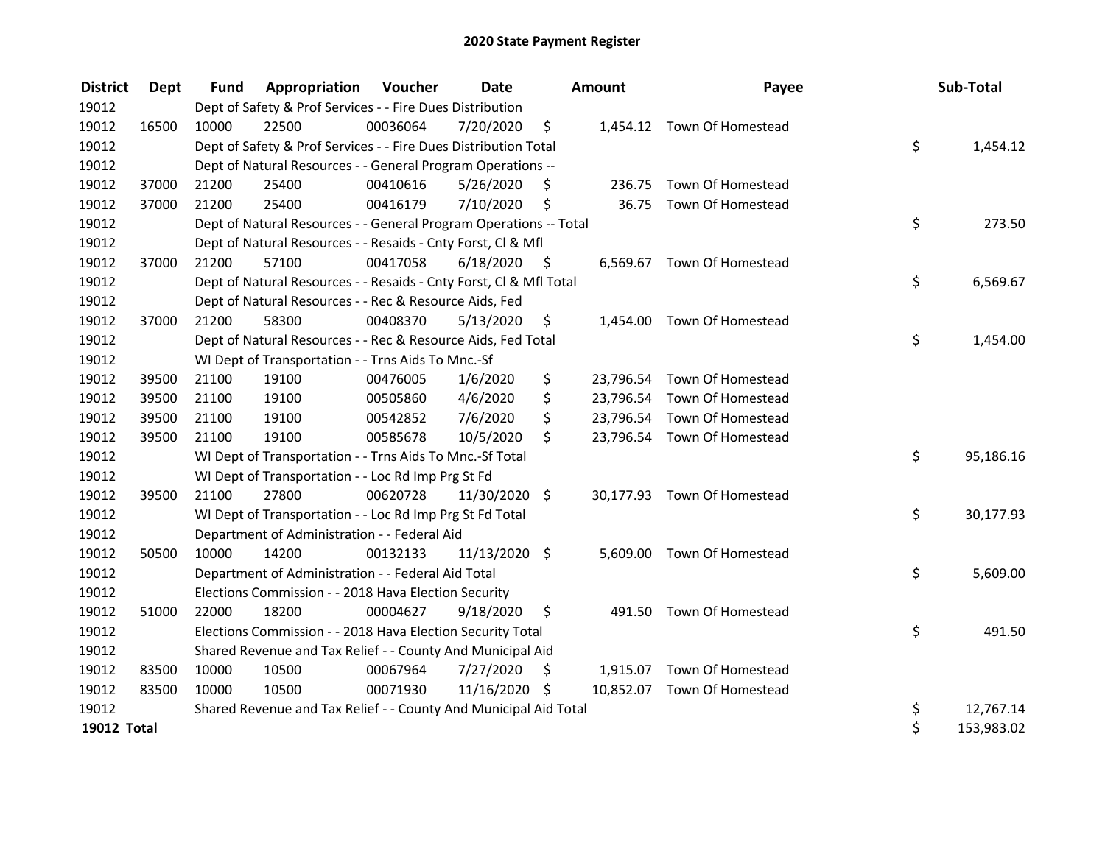| <b>District</b>    | Dept  | <b>Fund</b> | <b>Appropriation Voucher</b>                                       |          | Date          |      | Amount | Payee                       | Sub-Total        |
|--------------------|-------|-------------|--------------------------------------------------------------------|----------|---------------|------|--------|-----------------------------|------------------|
| 19012              |       |             | Dept of Safety & Prof Services - - Fire Dues Distribution          |          |               |      |        |                             |                  |
| 19012              | 16500 | 10000       | 22500                                                              | 00036064 | 7/20/2020     | \$   |        | 1,454.12 Town Of Homestead  |                  |
| 19012              |       |             | Dept of Safety & Prof Services - - Fire Dues Distribution Total    |          |               |      |        |                             | \$<br>1,454.12   |
| 19012              |       |             | Dept of Natural Resources - - General Program Operations --        |          |               |      |        |                             |                  |
| 19012              | 37000 | 21200       | 25400                                                              | 00410616 | 5/26/2020     | S    |        | 236.75 Town Of Homestead    |                  |
| 19012              | 37000 | 21200       | 25400                                                              | 00416179 | 7/10/2020     | \$   |        | 36.75 Town Of Homestead     |                  |
| 19012              |       |             | Dept of Natural Resources - - General Program Operations -- Total  |          |               |      |        |                             | \$<br>273.50     |
| 19012              |       |             | Dept of Natural Resources - - Resaids - Cnty Forst, Cl & Mfl       |          |               |      |        |                             |                  |
| 19012              | 37000 | 21200       | 57100                                                              | 00417058 | 6/18/2020     | - \$ |        | 6,569.67 Town Of Homestead  |                  |
| 19012              |       |             | Dept of Natural Resources - - Resaids - Cnty Forst, Cl & Mfl Total |          |               |      |        |                             | \$<br>6,569.67   |
| 19012              |       |             | Dept of Natural Resources - - Rec & Resource Aids, Fed             |          |               |      |        |                             |                  |
| 19012              | 37000 | 21200       | 58300                                                              | 00408370 | 5/13/2020     | \$   |        | 1,454.00 Town Of Homestead  |                  |
| 19012              |       |             | Dept of Natural Resources - - Rec & Resource Aids, Fed Total       |          |               |      |        |                             | \$<br>1,454.00   |
| 19012              |       |             | WI Dept of Transportation - - Trns Aids To Mnc.-Sf                 |          |               |      |        |                             |                  |
| 19012              | 39500 | 21100       | 19100                                                              | 00476005 | 1/6/2020      | \$   |        | 23,796.54 Town Of Homestead |                  |
| 19012              | 39500 | 21100       | 19100                                                              | 00505860 | 4/6/2020      | \$   |        | 23,796.54 Town Of Homestead |                  |
| 19012              | 39500 | 21100       | 19100                                                              | 00542852 | 7/6/2020      | \$   |        | 23,796.54 Town Of Homestead |                  |
| 19012              | 39500 | 21100       | 19100                                                              | 00585678 | 10/5/2020     | \$   |        | 23,796.54 Town Of Homestead |                  |
| 19012              |       |             | WI Dept of Transportation - - Trns Aids To Mnc.-Sf Total           |          |               |      |        |                             | \$<br>95,186.16  |
| 19012              |       |             | WI Dept of Transportation - - Loc Rd Imp Prg St Fd                 |          |               |      |        |                             |                  |
| 19012              | 39500 | 21100       | 27800                                                              | 00620728 | 11/30/2020 \$ |      |        | 30,177.93 Town Of Homestead |                  |
| 19012              |       |             | WI Dept of Transportation - - Loc Rd Imp Prg St Fd Total           |          |               |      |        |                             | \$<br>30,177.93  |
| 19012              |       |             | Department of Administration - - Federal Aid                       |          |               |      |        |                             |                  |
| 19012              | 50500 | 10000       | 14200                                                              | 00132133 | 11/13/2020 \$ |      |        | 5,609.00 Town Of Homestead  |                  |
| 19012              |       |             | Department of Administration - - Federal Aid Total                 |          |               |      |        |                             | \$<br>5,609.00   |
| 19012              |       |             | Elections Commission - - 2018 Hava Election Security               |          |               |      |        |                             |                  |
| 19012              | 51000 | 22000       | 18200                                                              | 00004627 | 9/18/2020     | \$   |        | 491.50 Town Of Homestead    |                  |
| 19012              |       |             | Elections Commission - - 2018 Hava Election Security Total         |          |               |      |        |                             | \$<br>491.50     |
| 19012              |       |             | Shared Revenue and Tax Relief - - County And Municipal Aid         |          |               |      |        |                             |                  |
| 19012              | 83500 | 10000       | 10500                                                              | 00067964 | 7/27/2020     | \$   |        | 1,915.07 Town Of Homestead  |                  |
| 19012              | 83500 | 10000       | 10500                                                              | 00071930 | 11/16/2020 \$ |      |        | 10,852.07 Town Of Homestead |                  |
| 19012              |       |             | Shared Revenue and Tax Relief - - County And Municipal Aid Total   |          |               |      |        |                             | \$<br>12,767.14  |
| <b>19012 Total</b> |       |             |                                                                    |          |               |      |        |                             | \$<br>153,983.02 |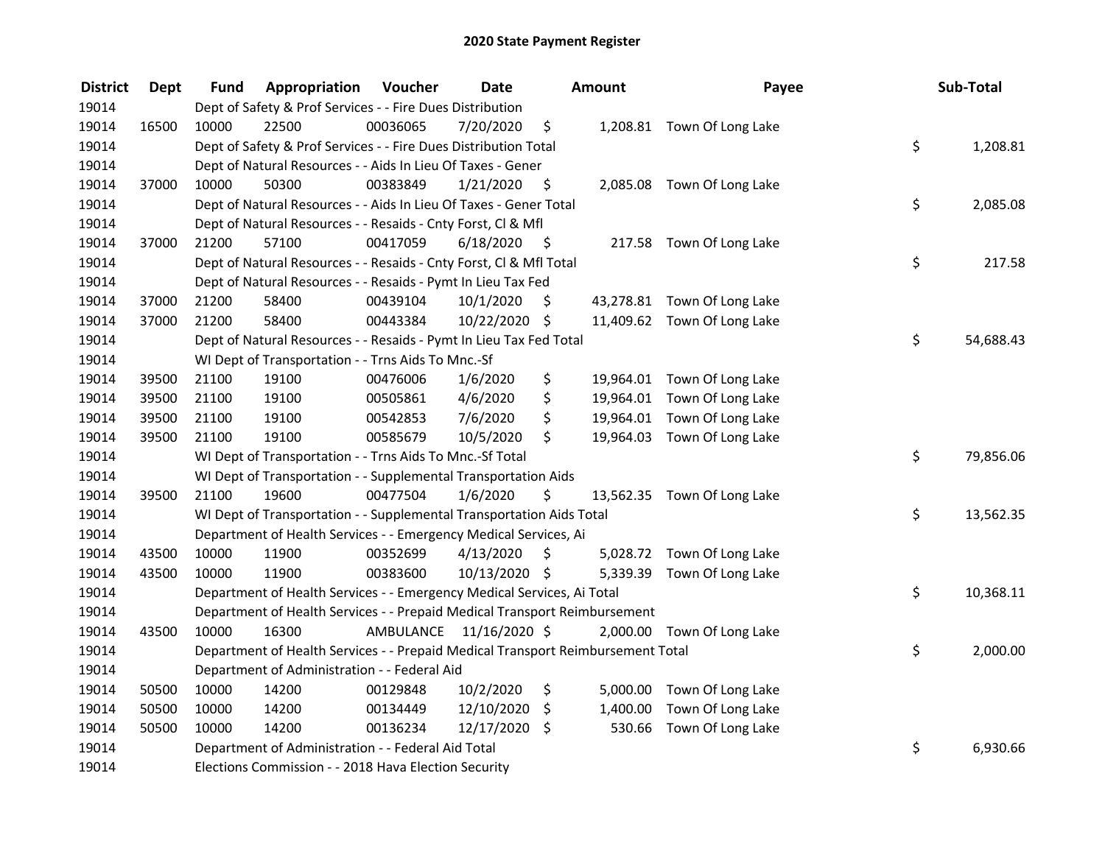| <b>District</b> | <b>Dept</b> | Fund  | Appropriation                                                                   | Voucher  | <b>Date</b>             |      | Amount   | Payee                       | Sub-Total       |
|-----------------|-------------|-------|---------------------------------------------------------------------------------|----------|-------------------------|------|----------|-----------------------------|-----------------|
| 19014           |             |       | Dept of Safety & Prof Services - - Fire Dues Distribution                       |          |                         |      |          |                             |                 |
| 19014           | 16500       | 10000 | 22500                                                                           | 00036065 | 7/20/2020               | \$   |          | 1,208.81 Town Of Long Lake  |                 |
| 19014           |             |       | Dept of Safety & Prof Services - - Fire Dues Distribution Total                 |          |                         |      |          |                             | \$<br>1,208.81  |
| 19014           |             |       | Dept of Natural Resources - - Aids In Lieu Of Taxes - Gener                     |          |                         |      |          |                             |                 |
| 19014           | 37000       | 10000 | 50300                                                                           | 00383849 | 1/21/2020               | \$   |          | 2,085.08 Town Of Long Lake  |                 |
| 19014           |             |       | Dept of Natural Resources - - Aids In Lieu Of Taxes - Gener Total               |          |                         |      |          |                             | \$<br>2,085.08  |
| 19014           |             |       | Dept of Natural Resources - - Resaids - Cnty Forst, Cl & Mfl                    |          |                         |      |          |                             |                 |
| 19014           | 37000       | 21200 | 57100                                                                           | 00417059 | 6/18/2020               | - \$ |          | 217.58 Town Of Long Lake    |                 |
| 19014           |             |       | Dept of Natural Resources - - Resaids - Cnty Forst, Cl & Mfl Total              |          |                         |      |          |                             | \$<br>217.58    |
| 19014           |             |       | Dept of Natural Resources - - Resaids - Pymt In Lieu Tax Fed                    |          |                         |      |          |                             |                 |
| 19014           | 37000       | 21200 | 58400                                                                           | 00439104 | 10/1/2020               | \$   |          | 43,278.81 Town Of Long Lake |                 |
| 19014           | 37000       | 21200 | 58400                                                                           | 00443384 | 10/22/2020 \$           |      |          | 11,409.62 Town Of Long Lake |                 |
| 19014           |             |       | Dept of Natural Resources - - Resaids - Pymt In Lieu Tax Fed Total              |          |                         |      |          |                             | \$<br>54,688.43 |
| 19014           |             |       | WI Dept of Transportation - - Trns Aids To Mnc.-Sf                              |          |                         |      |          |                             |                 |
| 19014           | 39500       | 21100 | 19100                                                                           | 00476006 | 1/6/2020                | \$   |          | 19,964.01 Town Of Long Lake |                 |
| 19014           | 39500       | 21100 | 19100                                                                           | 00505861 | 4/6/2020                | \$   |          | 19,964.01 Town Of Long Lake |                 |
| 19014           | 39500       | 21100 | 19100                                                                           | 00542853 | 7/6/2020                | \$   |          | 19,964.01 Town Of Long Lake |                 |
| 19014           | 39500       | 21100 | 19100                                                                           | 00585679 | 10/5/2020               | \$   |          | 19,964.03 Town Of Long Lake |                 |
| 19014           |             |       | WI Dept of Transportation - - Trns Aids To Mnc.-Sf Total                        |          |                         |      |          |                             | \$<br>79,856.06 |
| 19014           |             |       | WI Dept of Transportation - - Supplemental Transportation Aids                  |          |                         |      |          |                             |                 |
| 19014           | 39500       | 21100 | 19600                                                                           | 00477504 | 1/6/2020                | \$   |          | 13,562.35 Town Of Long Lake |                 |
| 19014           |             |       | WI Dept of Transportation - - Supplemental Transportation Aids Total            |          |                         |      |          |                             | \$<br>13,562.35 |
| 19014           |             |       | Department of Health Services - - Emergency Medical Services, Ai                |          |                         |      |          |                             |                 |
| 19014           | 43500       | 10000 | 11900                                                                           | 00352699 | 4/13/2020               | \$   |          | 5,028.72 Town Of Long Lake  |                 |
| 19014           | 43500       | 10000 | 11900                                                                           | 00383600 | 10/13/2020 \$           |      |          | 5,339.39 Town Of Long Lake  |                 |
| 19014           |             |       | Department of Health Services - - Emergency Medical Services, Ai Total          |          |                         |      |          |                             | \$<br>10,368.11 |
| 19014           |             |       | Department of Health Services - - Prepaid Medical Transport Reimbursement       |          |                         |      |          |                             |                 |
| 19014           | 43500       | 10000 | 16300                                                                           |          | AMBULANCE 11/16/2020 \$ |      |          | 2,000.00 Town Of Long Lake  |                 |
| 19014           |             |       | Department of Health Services - - Prepaid Medical Transport Reimbursement Total |          |                         |      |          |                             | \$<br>2,000.00  |
| 19014           |             |       | Department of Administration - - Federal Aid                                    |          |                         |      |          |                             |                 |
| 19014           | 50500       | 10000 | 14200                                                                           | 00129848 | 10/2/2020               | \$   |          | 5,000.00 Town Of Long Lake  |                 |
| 19014           | 50500       | 10000 | 14200                                                                           | 00134449 | 12/10/2020              | \$   | 1,400.00 | Town Of Long Lake           |                 |
| 19014           | 50500       | 10000 | 14200                                                                           | 00136234 | 12/17/2020 \$           |      |          | 530.66 Town Of Long Lake    |                 |
| 19014           |             |       | Department of Administration - - Federal Aid Total                              |          |                         |      |          |                             | \$<br>6,930.66  |
| 19014           |             |       | Elections Commission - - 2018 Hava Election Security                            |          |                         |      |          |                             |                 |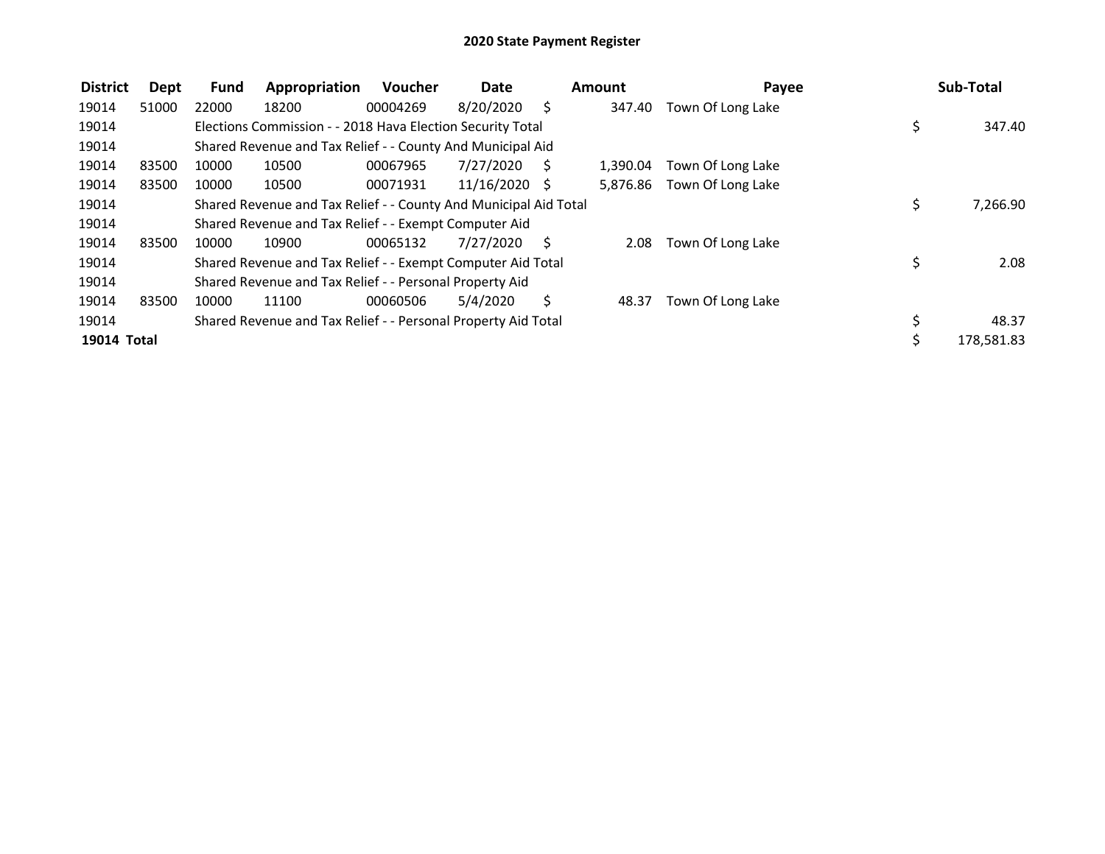| <b>District</b> | Dept  | <b>Fund</b> | Appropriation                                                    | Voucher  | <b>Date</b>   |     | Amount   | Payee             | Sub-Total        |
|-----------------|-------|-------------|------------------------------------------------------------------|----------|---------------|-----|----------|-------------------|------------------|
| 19014           | 51000 | 22000       | 18200                                                            | 00004269 | 8/20/2020     | S   | 347.40   | Town Of Long Lake |                  |
| 19014           |       |             | Elections Commission - - 2018 Hava Election Security Total       |          |               |     |          |                   | \$<br>347.40     |
| 19014           |       |             | Shared Revenue and Tax Relief - - County And Municipal Aid       |          |               |     |          |                   |                  |
| 19014           | 83500 | 10000       | 10500                                                            | 00067965 | 7/27/2020     | - S | 1.390.04 | Town Of Long Lake |                  |
| 19014           | 83500 | 10000       | 10500                                                            | 00071931 | 11/16/2020 \$ |     | 5,876.86 | Town Of Long Lake |                  |
| 19014           |       |             | Shared Revenue and Tax Relief - - County And Municipal Aid Total |          |               |     |          |                   | \$<br>7,266.90   |
| 19014           |       |             | Shared Revenue and Tax Relief - - Exempt Computer Aid            |          |               |     |          |                   |                  |
| 19014           | 83500 | 10000       | 10900                                                            | 00065132 | 7/27/2020     | S.  | 2.08     | Town Of Long Lake |                  |
| 19014           |       |             | Shared Revenue and Tax Relief - - Exempt Computer Aid Total      |          |               |     |          |                   | \$<br>2.08       |
| 19014           |       |             | Shared Revenue and Tax Relief - - Personal Property Aid          |          |               |     |          |                   |                  |
| 19014           | 83500 | 10000       | 11100                                                            | 00060506 | 5/4/2020      | Ś.  | 48.37    | Town Of Long Lake |                  |
| 19014           |       |             | Shared Revenue and Tax Relief - - Personal Property Aid Total    |          |               |     |          |                   | 48.37            |
| 19014 Total     |       |             |                                                                  |          |               |     |          |                   | \$<br>178,581.83 |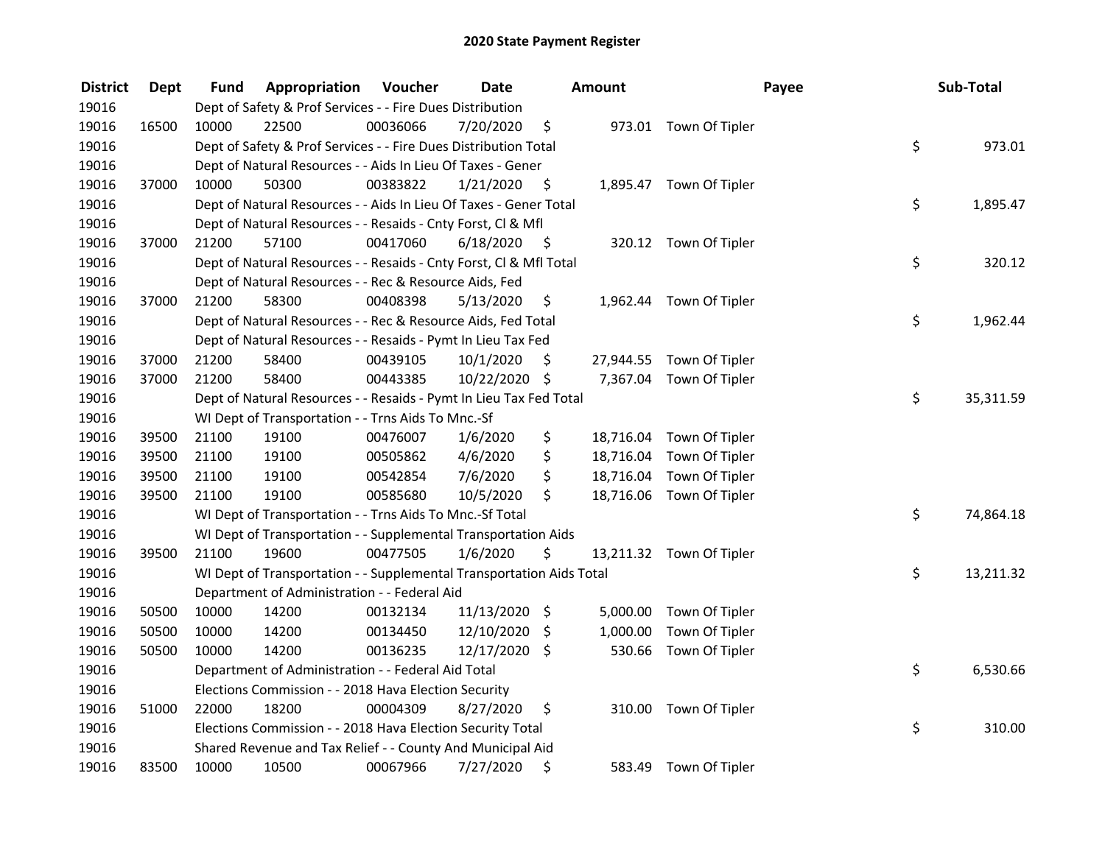| <b>District</b> | <b>Dept</b> | Fund                                                                                    | Appropriation                                                | Voucher  | <b>Date</b>   |      | Amount    |                          | Payee | Sub-Total |  |
|-----------------|-------------|-----------------------------------------------------------------------------------------|--------------------------------------------------------------|----------|---------------|------|-----------|--------------------------|-------|-----------|--|
| 19016           |             | Dept of Safety & Prof Services - - Fire Dues Distribution                               |                                                              |          |               |      |           |                          |       |           |  |
| 19016           | 16500       | 10000                                                                                   | 22500                                                        | 00036066 | 7/20/2020     | \$   |           | 973.01 Town Of Tipler    |       |           |  |
| 19016           |             | \$<br>Dept of Safety & Prof Services - - Fire Dues Distribution Total                   |                                                              |          |               |      |           |                          |       | 973.01    |  |
| 19016           |             | Dept of Natural Resources - - Aids In Lieu Of Taxes - Gener                             |                                                              |          |               |      |           |                          |       |           |  |
| 19016           | 37000       | 10000                                                                                   | 50300                                                        | 00383822 | 1/21/2020     | \$   |           | 1,895.47 Town Of Tipler  |       |           |  |
| 19016           |             | \$<br>Dept of Natural Resources - - Aids In Lieu Of Taxes - Gener Total                 |                                                              |          |               |      |           |                          |       | 1,895.47  |  |
| 19016           |             | Dept of Natural Resources - - Resaids - Cnty Forst, Cl & Mfl                            |                                                              |          |               |      |           |                          |       |           |  |
| 19016           | 37000       | 21200                                                                                   | 57100                                                        | 00417060 | 6/18/2020     | - \$ |           | 320.12 Town Of Tipler    |       | 320.12    |  |
| 19016           |             | \$<br>Dept of Natural Resources - - Resaids - Cnty Forst, Cl & Mfl Total                |                                                              |          |               |      |           |                          |       |           |  |
| 19016           |             | Dept of Natural Resources - - Rec & Resource Aids, Fed                                  |                                                              |          |               |      |           |                          |       |           |  |
| 19016           | 37000       | 21200                                                                                   | 58300                                                        | 00408398 | 5/13/2020     | \$   |           | 1,962.44 Town Of Tipler  |       |           |  |
| 19016           |             | \$<br>Dept of Natural Resources - - Rec & Resource Aids, Fed Total<br>1,962.44          |                                                              |          |               |      |           |                          |       |           |  |
| 19016           |             |                                                                                         | Dept of Natural Resources - - Resaids - Pymt In Lieu Tax Fed |          |               |      |           |                          |       |           |  |
| 19016           | 37000       | 21200                                                                                   | 58400                                                        | 00439105 | 10/1/2020     | \$   |           | 27,944.55 Town Of Tipler |       |           |  |
| 19016           | 37000       | 21200                                                                                   | 58400                                                        | 00443385 | 10/22/2020    | \$   |           | 7,367.04 Town Of Tipler  |       |           |  |
| 19016           |             | Dept of Natural Resources - - Resaids - Pymt In Lieu Tax Fed Total                      |                                                              |          |               |      |           |                          |       | 35,311.59 |  |
| 19016           |             |                                                                                         | WI Dept of Transportation - - Trns Aids To Mnc.-Sf           |          |               |      |           |                          |       |           |  |
| 19016           | 39500       | 21100                                                                                   | 19100                                                        | 00476007 | 1/6/2020      | \$   | 18,716.04 | Town Of Tipler           |       |           |  |
| 19016           | 39500       | 21100                                                                                   | 19100                                                        | 00505862 | 4/6/2020      | \$   | 18,716.04 | Town Of Tipler           |       |           |  |
| 19016           | 39500       | 21100                                                                                   | 19100                                                        | 00542854 | 7/6/2020      | \$   | 18,716.04 | Town Of Tipler           |       |           |  |
| 19016           | 39500       | 21100                                                                                   | 19100                                                        | 00585680 | 10/5/2020     | \$   |           | 18,716.06 Town Of Tipler |       |           |  |
| 19016           |             | WI Dept of Transportation - - Trns Aids To Mnc.-Sf Total                                |                                                              |          |               |      |           |                          |       | 74,864.18 |  |
| 19016           |             | WI Dept of Transportation - - Supplemental Transportation Aids                          |                                                              |          |               |      |           |                          |       |           |  |
| 19016           | 39500       | 21100                                                                                   | 19600                                                        | 00477505 | 1/6/2020      | \$   |           | 13,211.32 Town Of Tipler |       |           |  |
| 19016           |             | \$<br>13,211.32<br>WI Dept of Transportation - - Supplemental Transportation Aids Total |                                                              |          |               |      |           |                          |       |           |  |
| 19016           |             | Department of Administration - - Federal Aid                                            |                                                              |          |               |      |           |                          |       |           |  |
| 19016           | 50500       | 10000                                                                                   | 14200                                                        | 00132134 | 11/13/2020 \$ |      | 5,000.00  | Town Of Tipler           |       |           |  |
| 19016           | 50500       | 10000                                                                                   | 14200                                                        | 00134450 | 12/10/2020    | \$   | 1,000.00  | Town Of Tipler           |       |           |  |
| 19016           | 50500       | 10000                                                                                   | 14200                                                        | 00136235 | 12/17/2020 \$ |      | 530.66    | Town Of Tipler           |       |           |  |
| 19016           |             | Department of Administration - - Federal Aid Total                                      |                                                              |          |               |      |           |                          |       | 6,530.66  |  |
| 19016           |             | Elections Commission - - 2018 Hava Election Security                                    |                                                              |          |               |      |           |                          |       |           |  |
| 19016           | 51000       | 22000                                                                                   | 18200                                                        | 00004309 | 8/27/2020     | \$   | 310.00    | Town Of Tipler           |       |           |  |
| 19016           |             | \$<br>Elections Commission - - 2018 Hava Election Security Total                        |                                                              |          |               |      |           |                          |       | 310.00    |  |
| 19016           |             | Shared Revenue and Tax Relief - - County And Municipal Aid                              |                                                              |          |               |      |           |                          |       |           |  |
| 19016           | 83500       | 10000                                                                                   | 10500                                                        | 00067966 | 7/27/2020     | \$   |           | 583.49 Town Of Tipler    |       |           |  |